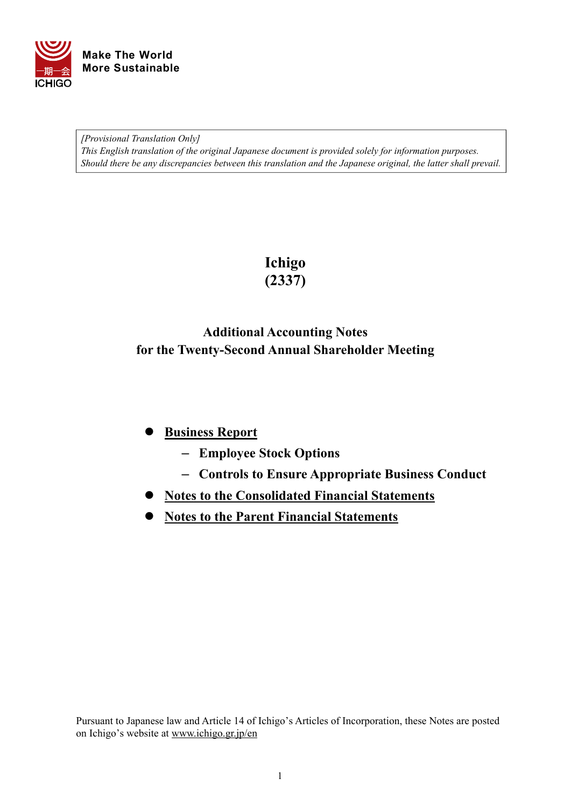

*[Provisional Translation Only] This English translation of the original Japanese document is provided solely for information purposes. Should there be any discrepancies between this translation and the Japanese original, the latter shall prevail.*

> **Ichigo (2337)**

# **Additional Accounting Notes for the Twenty-Second Annual Shareholder Meeting**

# **Business Report**

- **Employee Stock Options**
- **Controls to Ensure Appropriate Business Conduct**
- **Notes to the Consolidated Financial Statements**
- **Notes to the Parent Financial Statements**

Pursuant to Japanese law and Article 14 of Ichigo's Articles of Incorporation, these Notes are posted on Ichigo's website at [www.ichigo.gr.jp/en](https://www.ichigo.gr.jp/en)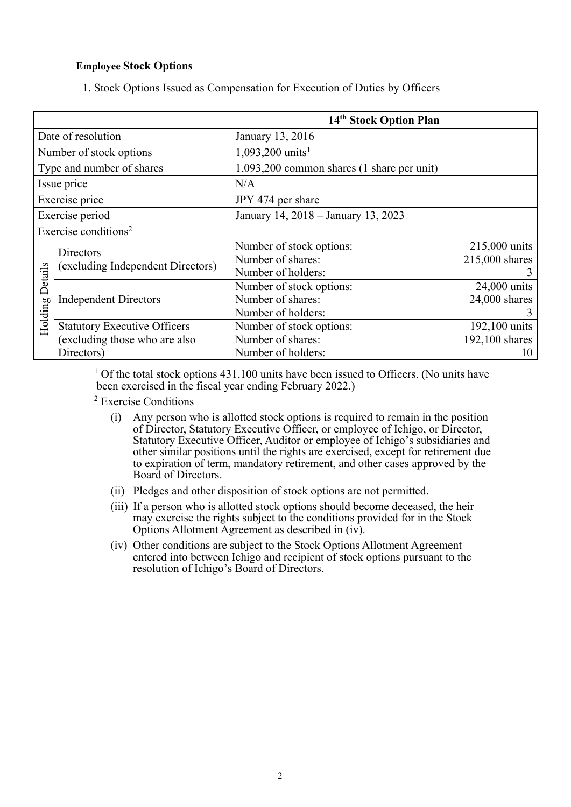### **Employee Stock Options**

1. Stock Options Issued as Compensation for Execution of Duties by Officers

|                                  |                                     | 14 <sup>th</sup> Stock Option Plan         |                 |
|----------------------------------|-------------------------------------|--------------------------------------------|-----------------|
| Date of resolution               |                                     | January 13, 2016                           |                 |
|                                  | Number of stock options             | 1,093,200 units <sup>1</sup>               |                 |
|                                  | Type and number of shares           | 1,093,200 common shares (1 share per unit) |                 |
|                                  | Issue price                         | N/A                                        |                 |
|                                  | Exercise price                      | JPY 474 per share                          |                 |
|                                  | Exercise period                     | January 14, 2018 - January 13, 2023        |                 |
| Exercise conditions <sup>2</sup> |                                     |                                            |                 |
|                                  | Directors                           | Number of stock options:                   | 215,000 units   |
|                                  | (excluding Independent Directors)   | Number of shares:                          | 215,000 shares  |
|                                  |                                     | Number of holders:                         | 3               |
| Details                          |                                     | Number of stock options:                   | 24,000 units    |
|                                  | <b>Independent Directors</b>        | Number of shares:                          | $24,000$ shares |
|                                  |                                     | Number of holders:                         | 3               |
| Holding                          | <b>Statutory Executive Officers</b> | Number of stock options:                   | 192,100 units   |
|                                  | (excluding those who are also       | Number of shares:                          | 192,100 shares  |
|                                  | Directors)                          | Number of holders:                         | 10              |

 $1$  Of the total stock options 431,100 units have been issued to Officers. (No units have been exercised in the fiscal year ending February 2022.)

2 Exercise Conditions

- (i) Any person who is allotted stock options is required to remain in the position of Director, Statutory Executive Officer, or employee of Ichigo, or Director, Statutory Executive Officer, Auditor or employee of Ichigo's subsidiaries and other similar positions until the rights are exercised, except for retirement due to expiration of term, mandatory retirement, and other cases approved by the Board of Directors.
- (ii) Pledges and other disposition of stock options are not permitted.
- (iii) If a person who is allotted stock options should become deceased, the heir may exercise the rights subject to the conditions provided for in the Stock Options Allotment Agreement as described in (iv).
- (iv) Other conditions are subject to the Stock Options Allotment Agreement entered into between Ichigo and recipient of stock options pursuant to the resolution of Ichigo's Board of Directors.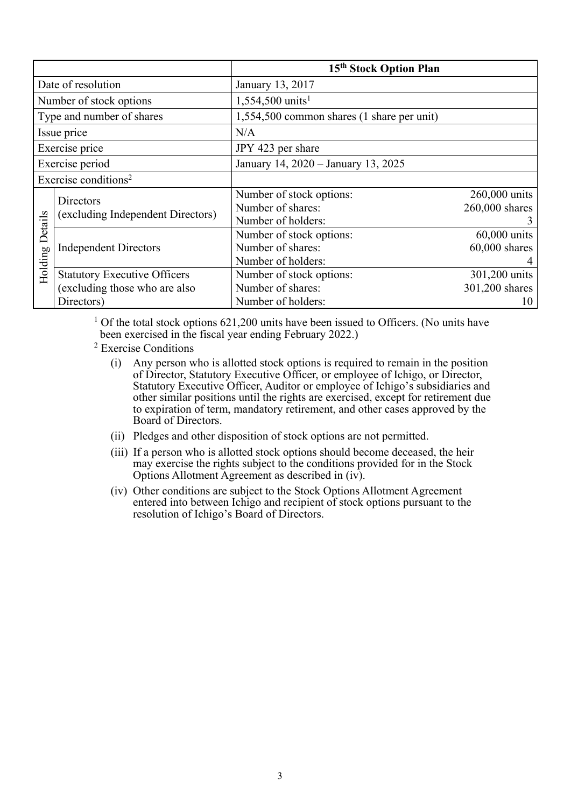|                                  |                                                                                    | 15 <sup>th</sup> Stock Option Plan                                  |                                       |
|----------------------------------|------------------------------------------------------------------------------------|---------------------------------------------------------------------|---------------------------------------|
|                                  | Date of resolution                                                                 | January 13, 2017                                                    |                                       |
|                                  | Number of stock options                                                            | $1,554,500 \text{ units}^1$                                         |                                       |
|                                  | Type and number of shares                                                          | 1,554,500 common shares (1 share per unit)                          |                                       |
|                                  | Issue price                                                                        | N/A                                                                 |                                       |
|                                  | Exercise price                                                                     | JPY 423 per share                                                   |                                       |
| Exercise period                  |                                                                                    | January 14, 2020 - January 13, 2025                                 |                                       |
| Exercise conditions <sup>2</sup> |                                                                                    |                                                                     |                                       |
|                                  | Directors<br>(excluding Independent Directors)                                     | Number of stock options:<br>Number of shares:<br>Number of holders: | 260,000 units<br>260,000 shares       |
| Details<br>Holding               | <b>Independent Directors</b>                                                       | Number of stock options:<br>Number of shares:<br>Number of holders: | 60,000 units<br>$60,000$ shares       |
|                                  | <b>Statutory Executive Officers</b><br>(excluding those who are also<br>Directors) | Number of stock options:<br>Number of shares:<br>Number of holders: | 301,200 units<br>301,200 shares<br>10 |

<sup>1</sup> Of the total stock options  $621,200$  units have been issued to Officers. (No units have been exercised in the fiscal year ending February 2022.)

- 2 Exercise Conditions
	- (i) Any person who is allotted stock options is required to remain in the position of Director, Statutory Executive Officer, or employee of Ichigo, or Director, Statutory Executive Officer, Auditor or employee of Ichigo's subsidiaries and other similar positions until the rights are exercised, except for retirement due to expiration of term, mandatory retirement, and other cases approved by the Board of Directors.
	- (ii) Pledges and other disposition of stock options are not permitted.
	- (iii) If a person who is allotted stock options should become deceased, the heir may exercise the rights subject to the conditions provided for in the Stock Options Allotment Agreement as described in (iv).
	- (iv) Other conditions are subject to the Stock Options Allotment Agreement entered into between Ichigo and recipient of stock options pursuant to the resolution of Ichigo's Board of Directors.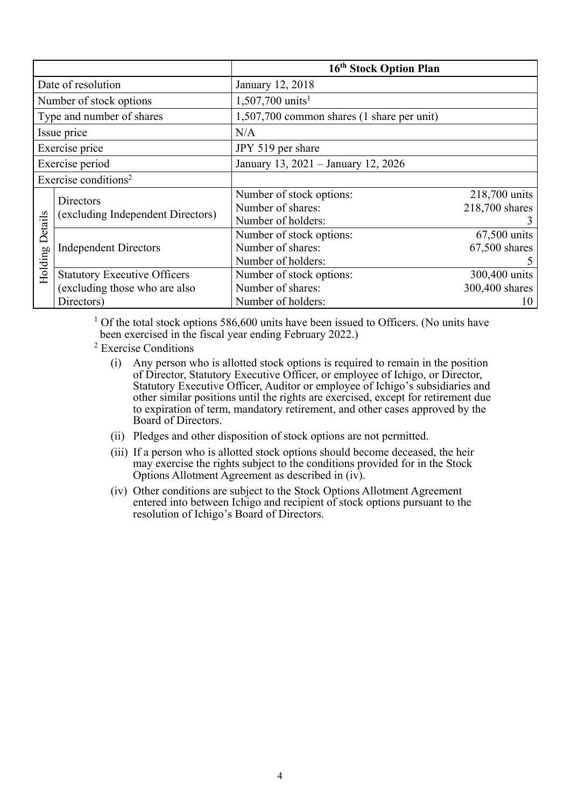|                                  |                                     | 16 <sup>th</sup> Stock Option Plan         |                |
|----------------------------------|-------------------------------------|--------------------------------------------|----------------|
| Date of resolution               |                                     | January 12, 2018                           |                |
|                                  | Number of stock options             | $1,507,700 \text{ units}^1$                |                |
|                                  | Type and number of shares           | 1,507,700 common shares (1 share per unit) |                |
|                                  | Issue price                         | N/A                                        |                |
|                                  | Exercise price                      | JPY 519 per share                          |                |
| Exercise period                  |                                     | January 13, 2021 - January 12, 2026        |                |
| Exercise conditions <sup>2</sup> |                                     |                                            |                |
|                                  | Directors                           | Number of stock options:                   | 218,700 units  |
|                                  | (excluding Independent Directors)   | Number of shares:                          | 218,700 shares |
|                                  |                                     | Number of holders:                         |                |
| Details                          |                                     | Number of stock options:                   | $67,500$ units |
|                                  | <b>Independent Directors</b>        | Number of shares:                          | 67,500 shares  |
|                                  |                                     | Number of holders:                         |                |
| Holding                          | <b>Statutory Executive Officers</b> | Number of stock options:                   | 300,400 units  |
|                                  | (excluding those who are also       | Number of shares:                          | 300,400 shares |
|                                  | Directors)                          | Number of holders:                         | 10             |

 $1$  Of the total stock options 586,600 units have been issued to Officers. (No units have been exercised in the fiscal year ending February 2022.)

- 2 Exercise Conditions
	- (i) Any person who is allotted stock options is required to remain in the position of Director, Statutory Executive Officer, or employee of Ichigo, or Director, Statutory Executive Officer, Auditor or employee of Ichigo's subsidiaries and other similar positions until the rights are exercised, except for retirement due to expiration of term, mandatory retirement, and other cases approved by the Board of Directors.
	- (ii) Pledges and other disposition of stock options are not permitted.
	- (iii) If a person who is allotted stock options should become deceased, the heir may exercise the rights subject to the conditions provided for in the Stock Options Allotment Agreement as described in (iv).
	- (iv) Other conditions are subject to the Stock Options Allotment Agreement entered into between Ichigo and recipient of stock options pursuant to the resolution of Ichigo's Board of Directors.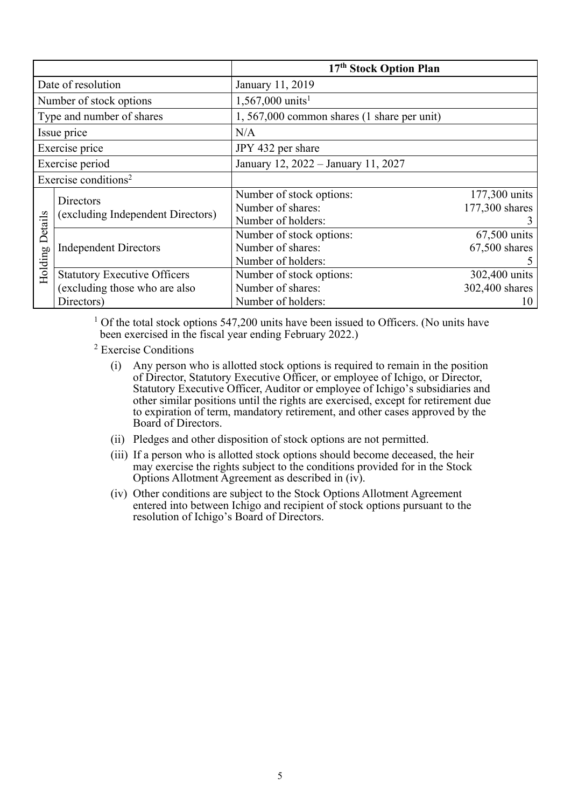|                                  |                                                | 17 <sup>th</sup> Stock Option Plan          |                 |
|----------------------------------|------------------------------------------------|---------------------------------------------|-----------------|
|                                  | Date of resolution                             | January 11, 2019                            |                 |
|                                  | Number of stock options                        | $1,567,000 \text{ units}^1$                 |                 |
|                                  | Type and number of shares                      | 1, 567,000 common shares (1 share per unit) |                 |
|                                  | Issue price                                    | N/A                                         |                 |
| Exercise price                   |                                                | JPY 432 per share                           |                 |
| Exercise period                  |                                                | January 12, 2022 - January 11, 2027         |                 |
| Exercise conditions <sup>2</sup> |                                                |                                             |                 |
|                                  | Directors<br>(excluding Independent Directors) | Number of stock options:                    | 177,300 units   |
|                                  |                                                | Number of shares:                           | 177,300 shares  |
|                                  |                                                | Number of holders:                          | 3               |
| Details                          |                                                | Number of stock options:                    | 67,500 units    |
|                                  | <b>Independent Directors</b>                   | Number of shares:                           | $67,500$ shares |
|                                  |                                                | Number of holders:                          |                 |
| Holding                          | <b>Statutory Executive Officers</b>            | Number of stock options:                    | 302,400 units   |
|                                  | (excluding those who are also                  | Number of shares:                           | 302,400 shares  |
|                                  | Directors)                                     | Number of holders:                          | 10              |

<sup>1</sup> Of the total stock options 547,200 units have been issued to Officers. (No units have been exercised in the fiscal year ending February 2022.)

- 2 Exercise Conditions
- (i) Any person who is allotted stock options is required to remain in the position of Director, Statutory Executive Officer, or employee of Ichigo, or Director, Statutory Executive Officer, Auditor or employee of Ichigo's subsidiaries and other similar positions until the rights are exercised, except for retirement due to expiration of term, mandatory retirement, and other cases approved by the Board of Directors.
	- (ii) Pledges and other disposition of stock options are not permitted.
	- (iii) If a person who is allotted stock options should become deceased, the heir may exercise the rights subject to the conditions provided for in the Stock Options Allotment Agreement as described in (iv).
	- (iv) Other conditions are subject to the Stock Options Allotment Agreement entered into between Ichigo and recipient of stock options pursuant to the resolution of Ichigo's Board of Directors.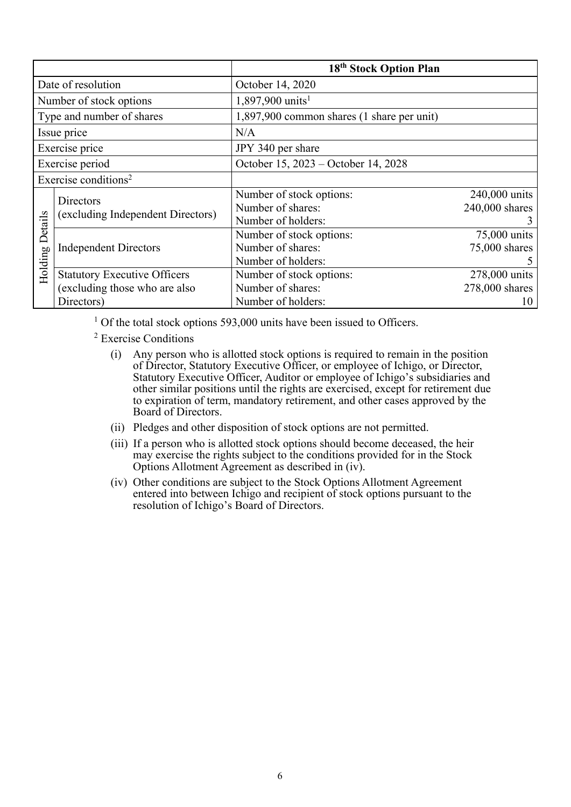|                                  |                                                | 18 <sup>th</sup> Stock Option Plan         |                |
|----------------------------------|------------------------------------------------|--------------------------------------------|----------------|
| Date of resolution               |                                                | October 14, 2020                           |                |
|                                  | Number of stock options                        | $1,897,900 \text{ units}^1$                |                |
|                                  | Type and number of shares                      | 1,897,900 common shares (1 share per unit) |                |
|                                  | Issue price                                    | N/A                                        |                |
| Exercise price                   |                                                | JPY 340 per share                          |                |
| Exercise period                  |                                                | October 15, 2023 – October 14, 2028        |                |
| Exercise conditions <sup>2</sup> |                                                |                                            |                |
|                                  | Directors<br>(excluding Independent Directors) | Number of stock options:                   | 240,000 units  |
|                                  |                                                | Number of shares:                          | 240,000 shares |
|                                  |                                                | Number of holders:                         | 3              |
| Details                          |                                                | Number of stock options:                   | 75,000 units   |
|                                  | <b>Independent Directors</b>                   | Number of shares:                          | 75,000 shares  |
| Holding                          |                                                | Number of holders:                         |                |
|                                  | <b>Statutory Executive Officers</b>            | Number of stock options:                   | 278,000 units  |
|                                  | (excluding those who are also                  | Number of shares:                          | 278,000 shares |
|                                  | Directors)                                     | Number of holders:                         | 10             |

<sup>1</sup> Of the total stock options 593,000 units have been issued to Officers.

2 Exercise Conditions

- (i) Any person who is allotted stock options is required to remain in the position of Director, Statutory Executive Officer, or employee of Ichigo, or Director, Statutory Executive Officer, Auditor or employee of Ichigo's subsidiaries and other similar positions until the rights are exercised, except for retirement due to expiration of term, mandatory retirement, and other cases approved by the Board of Directors.
- (ii) Pledges and other disposition of stock options are not permitted.
- (iii) If a person who is allotted stock options should become deceased, the heir may exercise the rights subject to the conditions provided for in the Stock Options Allotment Agreement as described in (iv).
- (iv) Other conditions are subject to the Stock Options Allotment Agreement entered into between Ichigo and recipient of stock options pursuant to the resolution of Ichigo's Board of Directors.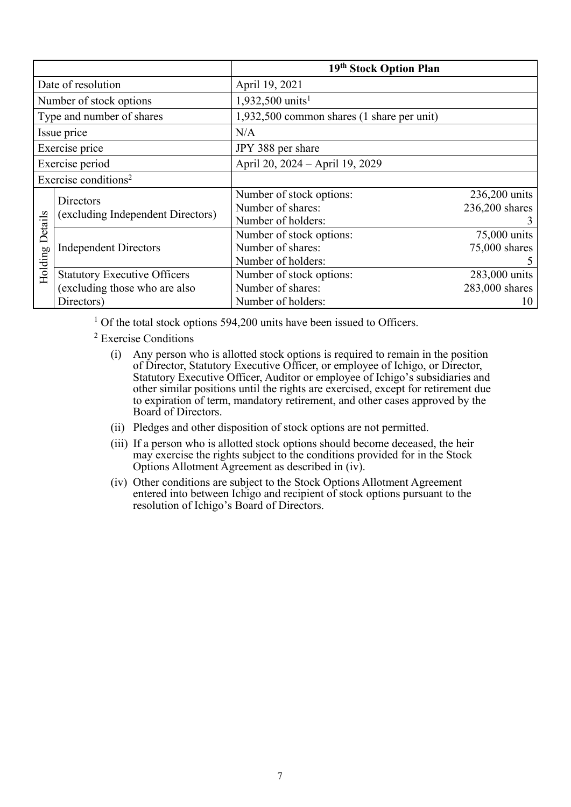|                                  |                                                | 19 <sup>th</sup> Stock Option Plan         |                |
|----------------------------------|------------------------------------------------|--------------------------------------------|----------------|
| Date of resolution               |                                                | April 19, 2021                             |                |
|                                  | Number of stock options                        | 1,932,500 units <sup>1</sup>               |                |
|                                  | Type and number of shares                      | 1,932,500 common shares (1 share per unit) |                |
|                                  | Issue price                                    | N/A                                        |                |
| Exercise price                   |                                                | JPY 388 per share                          |                |
| Exercise period                  |                                                | April 20, 2024 - April 19, 2029            |                |
| Exercise conditions <sup>2</sup> |                                                |                                            |                |
|                                  | Directors<br>(excluding Independent Directors) | Number of stock options:                   | 236,200 units  |
|                                  |                                                | Number of shares:                          | 236,200 shares |
|                                  |                                                | Number of holders:                         | 3              |
| Details                          |                                                | Number of stock options:                   | 75,000 units   |
|                                  | <b>Independent Directors</b>                   | Number of shares:                          | 75,000 shares  |
|                                  |                                                | Number of holders:                         |                |
| Holding                          | <b>Statutory Executive Officers</b>            | Number of stock options:                   | 283,000 units  |
|                                  | (excluding those who are also                  | Number of shares:                          | 283,000 shares |
|                                  | Directors)                                     | Number of holders:                         | 10             |

<sup>1</sup> Of the total stock options 594,200 units have been issued to Officers.

2 Exercise Conditions

- (i) Any person who is allotted stock options is required to remain in the position of Director, Statutory Executive Officer, or employee of Ichigo, or Director, Statutory Executive Officer, Auditor or employee of Ichigo's subsidiaries and other similar positions until the rights are exercised, except for retirement due to expiration of term, mandatory retirement, and other cases approved by the Board of Directors.
- (ii) Pledges and other disposition of stock options are not permitted.
- (iii) If a person who is allotted stock options should become deceased, the heir may exercise the rights subject to the conditions provided for in the Stock Options Allotment Agreement as described in (iv).
	- (iv) Other conditions are subject to the Stock Options Allotment Agreement entered into between Ichigo and recipient of stock options pursuant to the resolution of Ichigo's Board of Directors.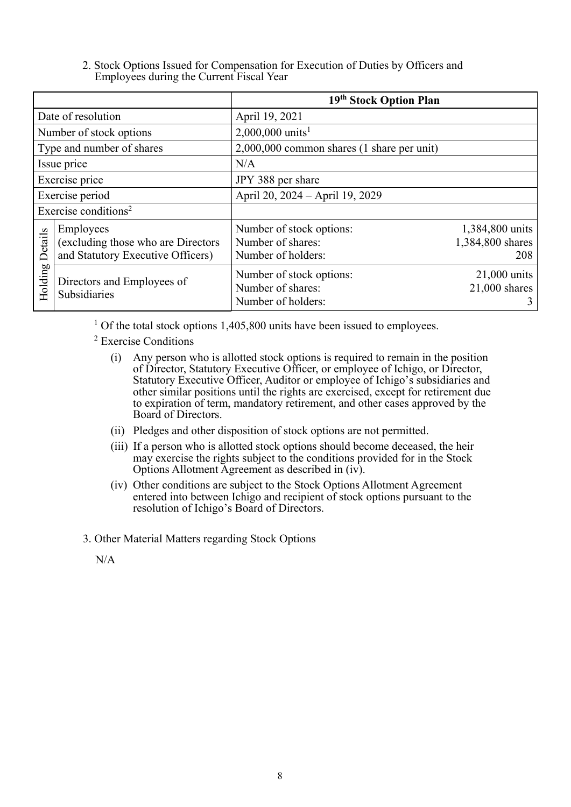2. Stock Options Issued for Compensation for Execution of Duties by Officers and Employees during the Current Fiscal Year

|                                  |                                                                                      | 19 <sup>th</sup> Stock Option Plan                                  |                                            |
|----------------------------------|--------------------------------------------------------------------------------------|---------------------------------------------------------------------|--------------------------------------------|
|                                  | Date of resolution                                                                   | April 19, 2021                                                      |                                            |
|                                  | Number of stock options                                                              | 2,000,000 units <sup>1</sup>                                        |                                            |
|                                  | Type and number of shares                                                            | 2,000,000 common shares (1 share per unit)                          |                                            |
| Issue price                      |                                                                                      | N/A                                                                 |                                            |
| Exercise price                   |                                                                                      | JPY 388 per share                                                   |                                            |
| Exercise period                  |                                                                                      | April 20, 2024 - April 19, 2029                                     |                                            |
| Exercise conditions <sup>2</sup> |                                                                                      |                                                                     |                                            |
| Details                          | Employees<br>(excluding those who are Directors<br>and Statutory Executive Officers) | Number of stock options:<br>Number of shares:<br>Number of holders: | 1,384,800 units<br>1,384,800 shares<br>208 |
| Holding                          | Directors and Employees of<br>Subsidiaries                                           | Number of stock options:<br>Number of shares:<br>Number of holders: | 21,000 units<br>$21,000$ shares<br>3       |

<sup>1</sup> Of the total stock options 1,405,800 units have been issued to employees.

2 Exercise Conditions

- (i) Any person who is allotted stock options is required to remain in the position of Director, Statutory Executive Officer, or employee of Ichigo, or Director, Statutory Executive Officer, Auditor or employee of Ichigo's subsidiaries and other similar positions until the rights are exercised, except for retirement due to expiration of term, mandatory retirement, and other cases approved by the Board of Directors.
- (ii) Pledges and other disposition of stock options are not permitted.
- (iii) If a person who is allotted stock options should become deceased, the heir may exercise the rights subject to the conditions provided for in the Stock Options Allotment Agreement as described in (iv).
- (iv) Other conditions are subject to the Stock Options Allotment Agreement entered into between Ichigo and recipient of stock options pursuant to the resolution of Ichigo's Board of Directors.

3. Other Material Matters regarding Stock Options

N/A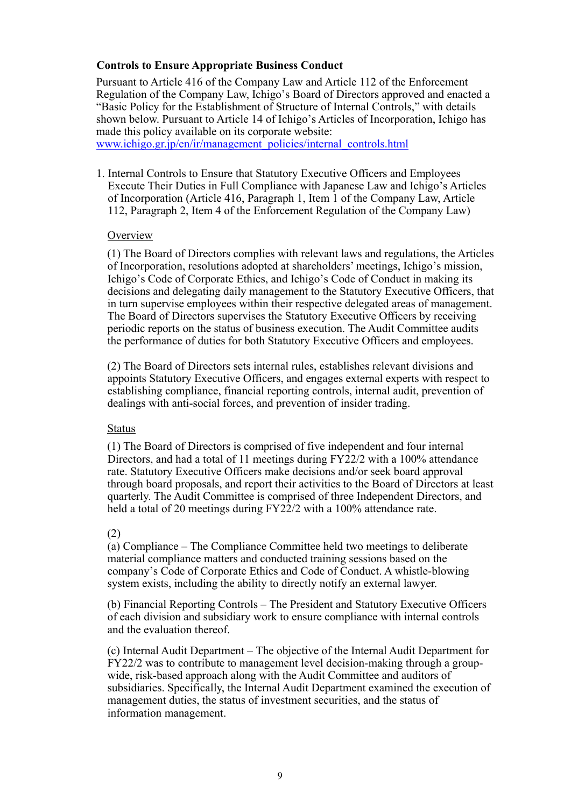# **Controls to Ensure Appropriate Business Conduct**

Pursuant to Article 416 of the Company Law and Article 112 of the Enforcement Regulation of the Company Law, Ichigo's Board of Directors approved and enacted a "Basic Policy for the Establishment of Structure of Internal Controls," with details shown below. Pursuant to Article 14 of Ichigo's Articles of Incorporation, Ichigo has made this policy available on its corporate website:

www.ichigo.gr.jp/en/ir/management\_policies/internal\_controls.html

1. Internal Controls to Ensure that Statutory Executive Officers and Employees Execute Their Duties in Full Compliance with Japanese Law and Ichigo's Articles of Incorporation (Article 416, Paragraph 1, Item 1 of the Company Law, Article 112, Paragraph 2, Item 4 of the Enforcement Regulation of the Company Law)

#### Overview

(1) The Board of Directors complies with relevant laws and regulations, the Articles of Incorporation, resolutions adopted at shareholders' meetings, Ichigo's mission, Ichigo's Code of Corporate Ethics, and Ichigo's Code of Conduct in making its decisions and delegating daily management to the Statutory Executive Officers, that in turn supervise employees within their respective delegated areas of management. The Board of Directors supervises the Statutory Executive Officers by receiving periodic reports on the status of business execution. The Audit Committee audits the performance of duties for both Statutory Executive Officers and employees.

(2) The Board of Directors sets internal rules, establishes relevant divisions and appoints Statutory Executive Officers, and engages external experts with respect to establishing compliance, financial reporting controls, internal audit, prevention of dealings with anti-social forces, and prevention of insider trading.

#### Status

(1) The Board of Directors is comprised of five independent and four internal Directors, and had a total of 11 meetings during FY22/2 with a 100% attendance rate. Statutory Executive Officers make decisions and/or seek board approval through board proposals, and report their activities to the Board of Directors at least quarterly. The Audit Committee is comprised of three Independent Directors, and held a total of 20 meetings during FY22/2 with a 100% attendance rate.

### (2)

(a) Compliance – The Compliance Committee held two meetings to deliberate material compliance matters and conducted training sessions based on the company's Code of Corporate Ethics and Code of Conduct. A whistle-blowing system exists, including the ability to directly notify an external lawyer.

(b) Financial Reporting Controls – The President and Statutory Executive Officers of each division and subsidiary work to ensure compliance with internal controls and the evaluation thereof.

(c) Internal Audit Department – The objective of the Internal Audit Department for FY22/2 was to contribute to management level decision-making through a groupwide, risk-based approach along with the Audit Committee and auditors of subsidiaries. Specifically, the Internal Audit Department examined the execution of management duties, the status of investment securities, and the status of information management.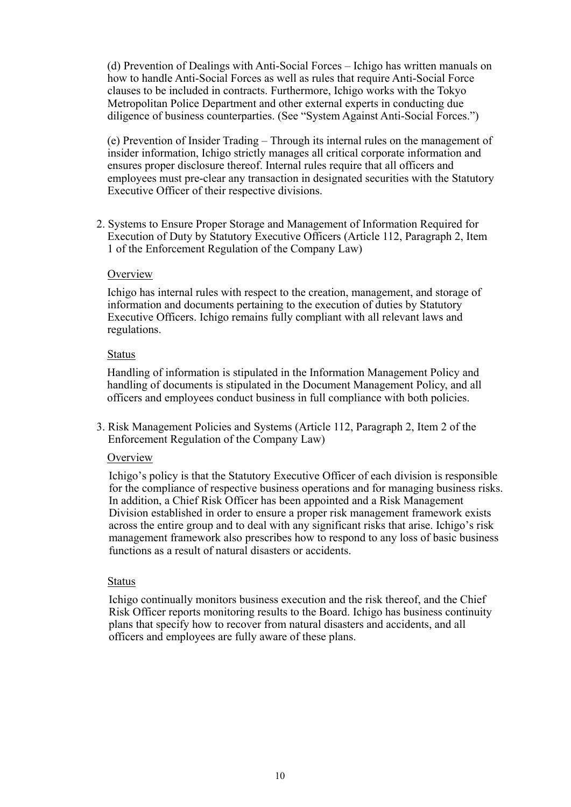(d) Prevention of Dealings with Anti-Social Forces – Ichigo has written manuals on how to handle Anti-Social Forces as well as rules that require Anti-Social Force clauses to be included in contracts. Furthermore, Ichigo works with the Tokyo Metropolitan Police Department and other external experts in conducting due diligence of business counterparties. (See "System Against Anti-Social Forces.")

(e) Prevention of Insider Trading – Through its internal rules on the management of insider information, Ichigo strictly manages all critical corporate information and ensures proper disclosure thereof. Internal rules require that all officers and employees must pre-clear any transaction in designated securities with the Statutory Executive Officer of their respective divisions.

2. Systems to Ensure Proper Storage and Management of Information Required for Execution of Duty by Statutory Executive Officers (Article 112, Paragraph 2, Item 1 of the Enforcement Regulation of the Company Law)

#### **Overview**

Ichigo has internal rules with respect to the creation, management, and storage of information and documents pertaining to the execution of duties by Statutory Executive Officers. Ichigo remains fully compliant with all relevant laws and regulations.

#### Status

Handling of information is stipulated in the Information Management Policy and handling of documents is stipulated in the Document Management Policy, and all officers and employees conduct business in full compliance with both policies.

3. Risk Management Policies and Systems (Article 112, Paragraph 2, Item 2 of the Enforcement Regulation of the Company Law)

### **Overview**

Ichigo's policy is that the Statutory Executive Officer of each division is responsible for the compliance of respective business operations and for managing business risks. In addition, a Chief Risk Officer has been appointed and a Risk Management Division established in order to ensure a proper risk management framework exists across the entire group and to deal with any significant risks that arise. Ichigo's risk management framework also prescribes how to respond to any loss of basic business functions as a result of natural disasters or accidents.

### Status

Ichigo continually monitors business execution and the risk thereof, and the Chief Risk Officer reports monitoring results to the Board. Ichigo has business continuity plans that specify how to recover from natural disasters and accidents, and all officers and employees are fully aware of these plans.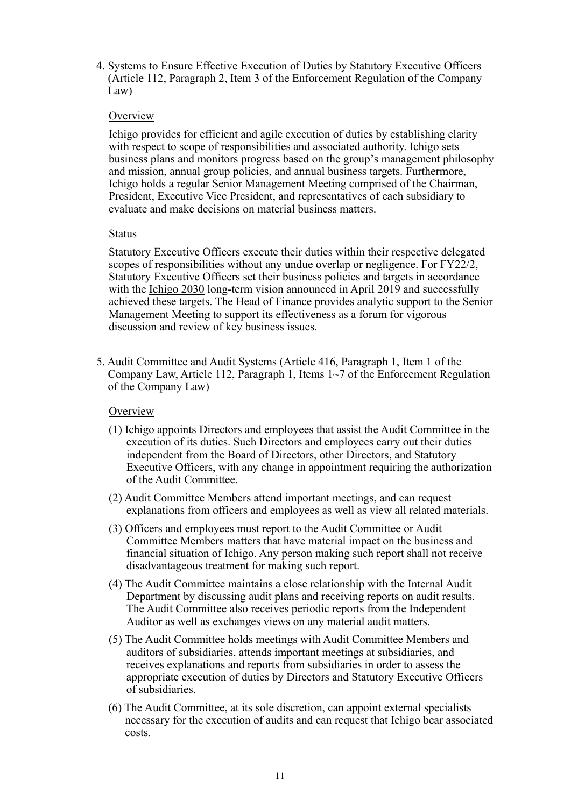4. Systems to Ensure Effective Execution of Duties by Statutory Executive Officers (Article 112, Paragraph 2, Item 3 of the Enforcement Regulation of the Company Law)

#### **Overview**

Ichigo provides for efficient and agile execution of duties by establishing clarity with respect to scope of responsibilities and associated authority. Ichigo sets business plans and monitors progress based on the group's management philosophy and mission, annual group policies, and annual business targets. Furthermore, Ichigo holds a regular Senior Management Meeting comprised of the Chairman, President, Executive Vice President, and representatives of each subsidiary to evaluate and make decisions on material business matters.

#### Status

Statutory Executive Officers execute their duties within their respective delegated scopes of responsibilities without any undue overlap or negligence. For FY22/2, Statutory Executive Officers set their business policies and targets in accordance with the Ichigo 2030 long-term vision announced in April 2019 and successfully achieved these targets. The Head of Finance provides analytic support to the Senior Management Meeting to support its effectiveness as a forum for vigorous discussion and review of key business issues.

5. Audit Committee and Audit Systems (Article 416, Paragraph 1, Item 1 of the Company Law, Article 112, Paragraph 1, Items 1~7 of the Enforcement Regulation of the Company Law)

### **Overview**

- (1) Ichigo appoints Directors and employees that assist the Audit Committee in the execution of its duties. Such Directors and employees carry out their duties independent from the Board of Directors, other Directors, and Statutory Executive Officers, with any change in appointment requiring the authorization of the Audit Committee.
- (2) Audit Committee Members attend important meetings, and can request explanations from officers and employees as well as view all related materials.
- (3) Officers and employees must report to the Audit Committee or Audit Committee Members matters that have material impact on the business and financial situation of Ichigo. Any person making such report shall not receive disadvantageous treatment for making such report.
- (4) The Audit Committee maintains a close relationship with the Internal Audit Department by discussing audit plans and receiving reports on audit results. The Audit Committee also receives periodic reports from the Independent Auditor as well as exchanges views on any material audit matters.
- (5) The Audit Committee holds meetings with Audit Committee Members and auditors of subsidiaries, attends important meetings at subsidiaries, and receives explanations and reports from subsidiaries in order to assess the appropriate execution of duties by Directors and Statutory Executive Officers of subsidiaries.
- (6) The Audit Committee, at its sole discretion, can appoint external specialists necessary for the execution of audits and can request that Ichigo bear associated costs.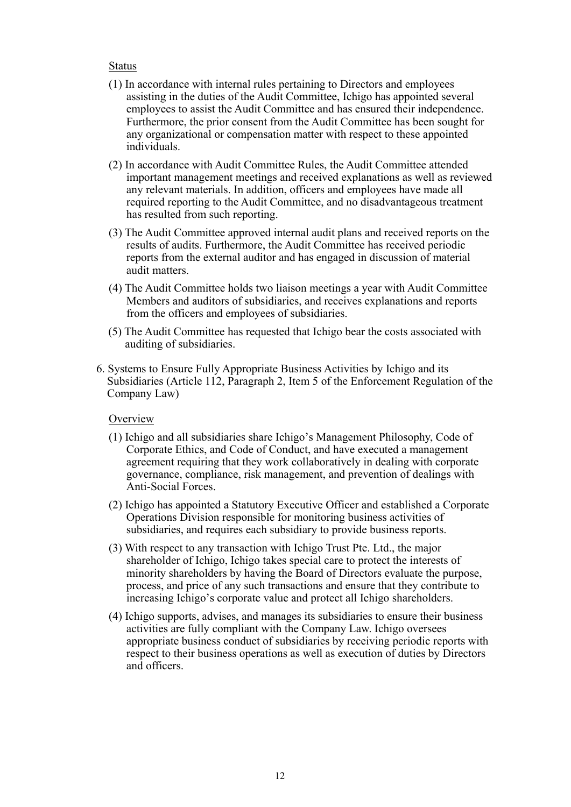#### Status

- (1) In accordance with internal rules pertaining to Directors and employees assisting in the duties of the Audit Committee, Ichigo has appointed several employees to assist the Audit Committee and has ensured their independence. Furthermore, the prior consent from the Audit Committee has been sought for any organizational or compensation matter with respect to these appointed individuals.
- (2) In accordance with Audit Committee Rules, the Audit Committee attended important management meetings and received explanations as well as reviewed any relevant materials. In addition, officers and employees have made all required reporting to the Audit Committee, and no disadvantageous treatment has resulted from such reporting.
- (3) The Audit Committee approved internal audit plans and received reports on the results of audits. Furthermore, the Audit Committee has received periodic reports from the external auditor and has engaged in discussion of material audit matters.
- (4) The Audit Committee holds two liaison meetings a year with Audit Committee Members and auditors of subsidiaries, and receives explanations and reports from the officers and employees of subsidiaries.
- (5) The Audit Committee has requested that Ichigo bear the costs associated with auditing of subsidiaries.
- 6. Systems to Ensure Fully Appropriate Business Activities by Ichigo and its Subsidiaries (Article 112, Paragraph 2, Item 5 of the Enforcement Regulation of the Company Law)

### **Overview**

- (1) Ichigo and all subsidiaries share Ichigo's Management Philosophy, Code of Corporate Ethics, and Code of Conduct, and have executed a management agreement requiring that they work collaboratively in dealing with corporate governance, compliance, risk management, and prevention of dealings with Anti-Social Forces.
- (2) Ichigo has appointed a Statutory Executive Officer and established a Corporate Operations Division responsible for monitoring business activities of subsidiaries, and requires each subsidiary to provide business reports.
- (3) With respect to any transaction with Ichigo Trust Pte. Ltd., the major shareholder of Ichigo, Ichigo takes special care to protect the interests of minority shareholders by having the Board of Directors evaluate the purpose, process, and price of any such transactions and ensure that they contribute to increasing Ichigo's corporate value and protect all Ichigo shareholders.
- (4) Ichigo supports, advises, and manages its subsidiaries to ensure their business activities are fully compliant with the Company Law. Ichigo oversees appropriate business conduct of subsidiaries by receiving periodic reports with respect to their business operations as well as execution of duties by Directors and officers.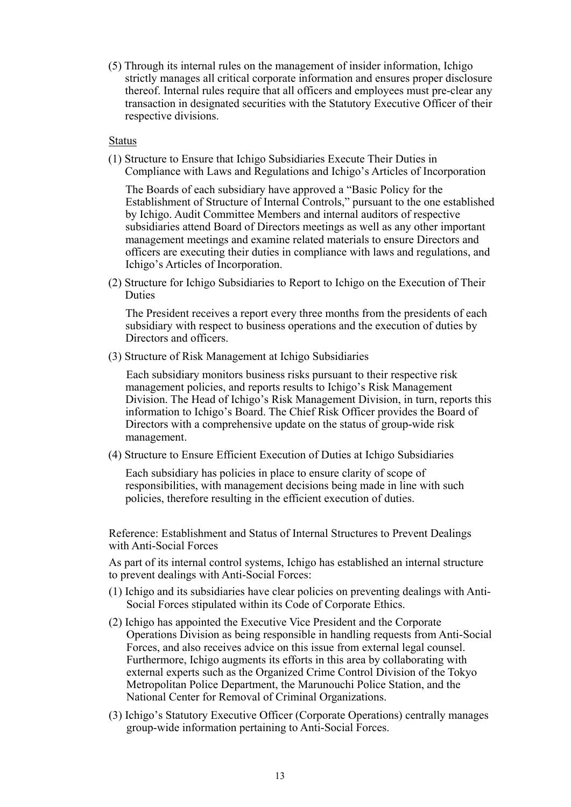(5) Through its internal rules on the management of insider information, Ichigo strictly manages all critical corporate information and ensures proper disclosure thereof. Internal rules require that all officers and employees must pre-clear any transaction in designated securities with the Statutory Executive Officer of their respective divisions.

#### Status

(1) Structure to Ensure that Ichigo Subsidiaries Execute Their Duties in Compliance with Laws and Regulations and Ichigo's Articles of Incorporation

The Boards of each subsidiary have approved a "Basic Policy for the Establishment of Structure of Internal Controls," pursuant to the one established by Ichigo. Audit Committee Members and internal auditors of respective subsidiaries attend Board of Directors meetings as well as any other important management meetings and examine related materials to ensure Directors and officers are executing their duties in compliance with laws and regulations, and Ichigo's Articles of Incorporation.

(2) Structure for Ichigo Subsidiaries to Report to Ichigo on the Execution of Their Duties

The President receives a report every three months from the presidents of each subsidiary with respect to business operations and the execution of duties by Directors and officers.

(3) Structure of Risk Management at Ichigo Subsidiaries

Each subsidiary monitors business risks pursuant to their respective risk management policies, and reports results to Ichigo's Risk Management Division. The Head of Ichigo's Risk Management Division, in turn, reports this information to Ichigo's Board. The Chief Risk Officer provides the Board of Directors with a comprehensive update on the status of group-wide risk management.

(4) Structure to Ensure Efficient Execution of Duties at Ichigo Subsidiaries

Each subsidiary has policies in place to ensure clarity of scope of responsibilities, with management decisions being made in line with such policies, therefore resulting in the efficient execution of duties.

Reference: Establishment and Status of Internal Structures to Prevent Dealings with Anti-Social Forces

As part of its internal control systems, Ichigo has established an internal structure to prevent dealings with Anti-Social Forces:

- (1) Ichigo and its subsidiaries have clear policies on preventing dealings with Anti-Social Forces stipulated within its Code of Corporate Ethics.
- (2) Ichigo has appointed the Executive Vice President and the Corporate Operations Division as being responsible in handling requests from Anti-Social Forces, and also receives advice on this issue from external legal counsel. Furthermore, Ichigo augments its efforts in this area by collaborating with external experts such as the Organized Crime Control Division of the Tokyo Metropolitan Police Department, the Marunouchi Police Station, and the National Center for Removal of Criminal Organizations.
- (3) Ichigo's Statutory Executive Officer (Corporate Operations) centrally manages group-wide information pertaining to Anti-Social Forces.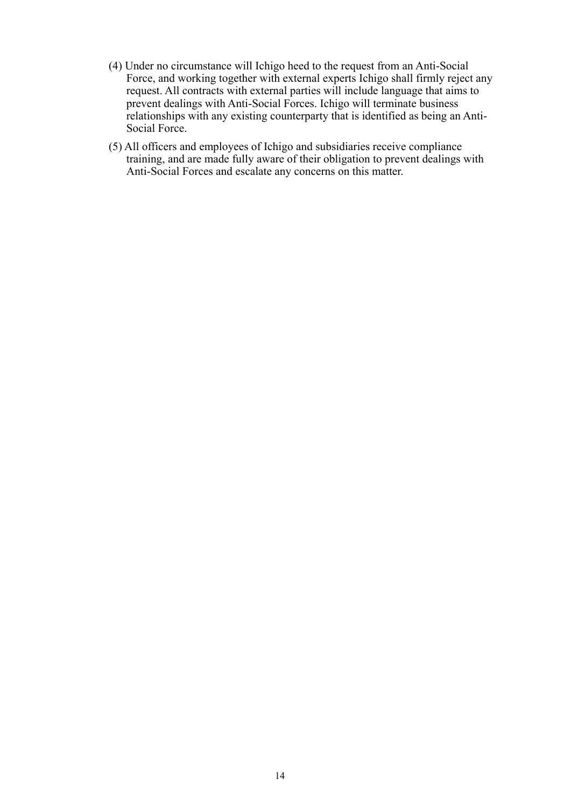- (4) Under no circumstance will Ichigo heed to the request from an Anti-Social Force, and working together with external experts Ichigo shall firmly reject any request. All contracts with external parties will include language that aims to prevent dealings with Anti-Social Forces. Ichigo will terminate business relationships with any existing counterparty that is identified as being an Anti-Social Force.
- (5) All officers and employees of Ichigo and subsidiaries receive compliance training, and are made fully aware of their obligation to prevent dealings with Anti-Social Forces and escalate any concerns on this matter.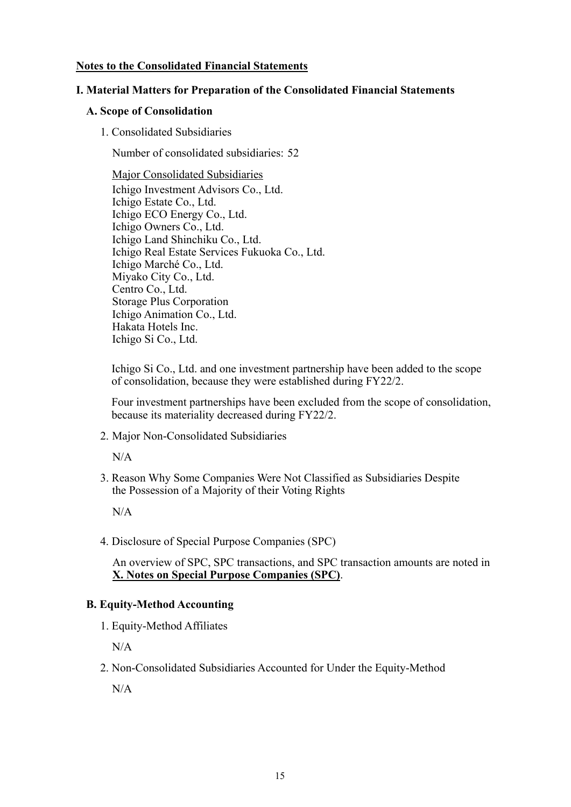## **Notes to the Consolidated Financial Statements**

## **I. Material Matters for Preparation of the Consolidated Financial Statements**

### **A. Scope of Consolidation**

1. Consolidated Subsidiaries

Number of consolidated subsidiaries: 52

Major Consolidated Subsidiaries Ichigo Investment Advisors Co., Ltd. Ichigo Estate Co., Ltd. Ichigo ECO Energy Co., Ltd. Ichigo Owners Co., Ltd. Ichigo Land Shinchiku Co., Ltd. Ichigo Real Estate Services Fukuoka Co., Ltd. Ichigo Marché Co., Ltd. Miyako City Co., Ltd. Centro Co., Ltd. Storage Plus Corporation Ichigo Animation Co., Ltd. Hakata Hotels Inc. Ichigo Si Co., Ltd.

Ichigo Si Co., Ltd. and one investment partnership have been added to the scope of consolidation, because they were established during FY22/2.

Four investment partnerships have been excluded from the scope of consolidation, because its materiality decreased during FY22/2.

2. Major Non-Consolidated Subsidiaries

N/A

3. Reason Why Some Companies Were Not Classified as Subsidiaries Despite the Possession of a Majority of their Voting Rights

 $N/A$ 

4. Disclosure of Special Purpose Companies (SPC)

An overview of SPC, SPC transactions, and SPC transaction amounts are noted in **X. Notes on Special Purpose Companies (SPC)**.

### **B. Equity-Method Accounting**

1. Equity-Method Affiliates

 $N/A$ 

2. Non-Consolidated Subsidiaries Accounted for Under the Equity-Method

 $N/A$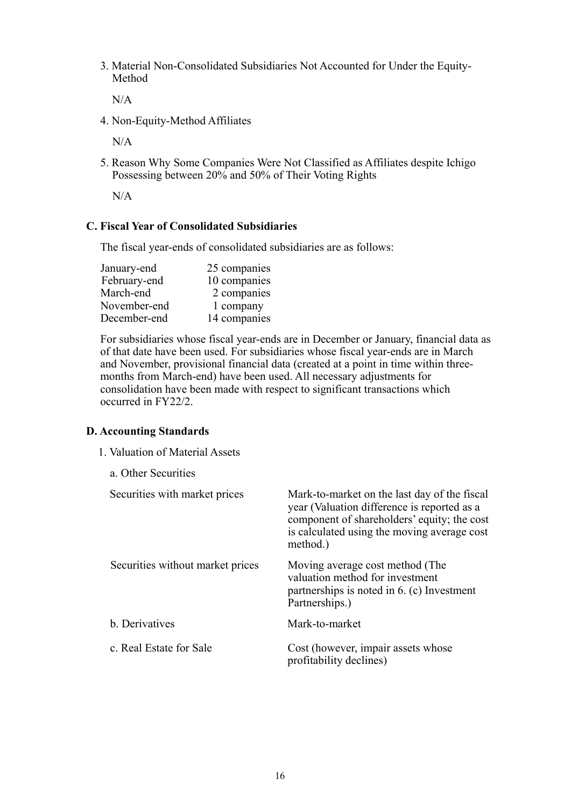3. Material Non-Consolidated Subsidiaries Not Accounted for Under the Equity-Method

N/A

4. Non-Equity-Method Affiliates

N/A

5. Reason Why Some Companies Were Not Classified as Affiliates despite Ichigo Possessing between 20% and 50% of Their Voting Rights

 $N/A$ 

#### **C. Fiscal Year of Consolidated Subsidiaries**

The fiscal year-ends of consolidated subsidiaries are as follows:

| January-end  | 25 companies |
|--------------|--------------|
| February-end | 10 companies |
| March-end    | 2 companies  |
| November-end | 1 company    |
| December-end | 14 companies |

For subsidiaries whose fiscal year-ends are in December or January, financial data as of that date have been used. For subsidiaries whose fiscal year-ends are in March and November, provisional financial data (created at a point in time within threemonths from March-end) have been used. All necessary adjustments for consolidation have been made with respect to significant transactions which occurred in FY22/2.

#### **D. Accounting Standards**

a. Other Securities

1. Valuation of Material Assets

| Securities with market prices    | Mark-to-market on the last day of the fiscal<br>year (Valuation difference is reported as a<br>component of shareholders' equity; the cost<br>is calculated using the moving average cost<br>method.) |
|----------------------------------|-------------------------------------------------------------------------------------------------------------------------------------------------------------------------------------------------------|
| Securities without market prices | Moving average cost method (The<br>valuation method for investment<br>partnerships is noted in 6. (c) Investment<br>Partnerships.)                                                                    |
| b. Derivatives                   | Mark-to-market                                                                                                                                                                                        |
| c. Real Estate for Sale          | Cost (however, impair assets whose<br>profitability declines)                                                                                                                                         |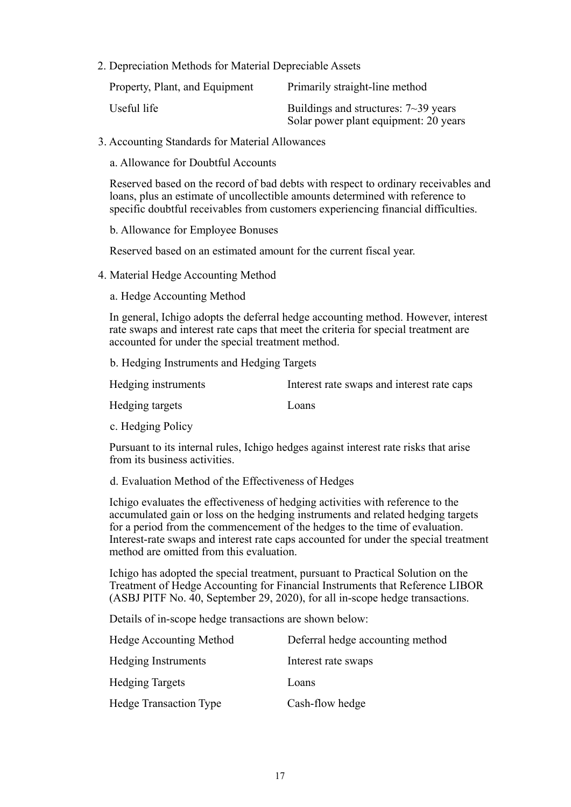2. Depreciation Methods for Material Depreciable Assets

| Property, Plant, and Equipment | Primarily straight-line method                                                       |
|--------------------------------|--------------------------------------------------------------------------------------|
| Useful life                    | Buildings and structures: $7 \sim 39$ years<br>Solar power plant equipment: 20 years |

3. Accounting Standards for Material Allowances

a. Allowance for Doubtful Accounts

Reserved based on the record of bad debts with respect to ordinary receivables and loans, plus an estimate of uncollectible amounts determined with reference to specific doubtful receivables from customers experiencing financial difficulties.

b. Allowance for Employee Bonuses

Reserved based on an estimated amount for the current fiscal year.

4. Material Hedge Accounting Method

a. Hedge Accounting Method

In general, Ichigo adopts the deferral hedge accounting method. However, interest rate swaps and interest rate caps that meet the criteria for special treatment are accounted for under the special treatment method.

b. Hedging Instruments and Hedging Targets

| Hedging instruments | Interest rate swaps and interest rate caps |
|---------------------|--------------------------------------------|
|                     |                                            |

Hedging targets Loans

c. Hedging Policy

Pursuant to its internal rules, Ichigo hedges against interest rate risks that arise from its business activities.

d. Evaluation Method of the Effectiveness of Hedges

Ichigo evaluates the effectiveness of hedging activities with reference to the accumulated gain or loss on the hedging instruments and related hedging targets for a period from the commencement of the hedges to the time of evaluation. Interest-rate swaps and interest rate caps accounted for under the special treatment method are omitted from this evaluation.

Ichigo has adopted the special treatment, pursuant to Practical Solution on the Treatment of Hedge Accounting for Financial Instruments that Reference LIBOR (ASBJ PITF No. 40, September 29, 2020), for all in-scope hedge transactions.

Details of in-scope hedge transactions are shown below:

| Hedge Accounting Method       | Deferral hedge accounting method |
|-------------------------------|----------------------------------|
| Hedging Instruments           | Interest rate swaps              |
| <b>Hedging Targets</b>        | Loans                            |
| <b>Hedge Transaction Type</b> | Cash-flow hedge                  |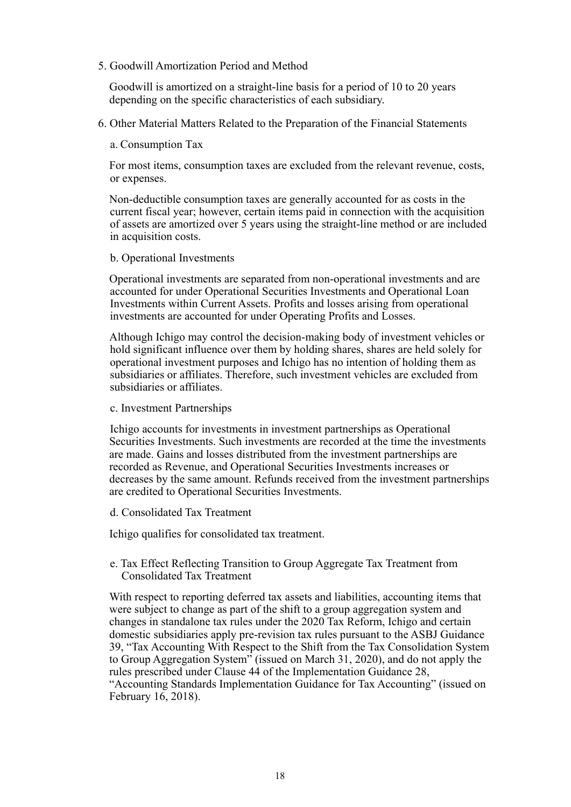5. Goodwill Amortization Period and Method

Goodwill is amortized on a straight-line basis for a period of 10 to 20 years depending on the specific characteristics of each subsidiary.

6. Other Material Matters Related to the Preparation of the Financial Statements

#### a. Consumption Tax

For most items, consumption taxes are excluded from the relevant revenue, costs, or expenses.

Non-deductible consumption taxes are generally accounted for as costs in the current fiscal year; however, certain items paid in connection with the acquisition of assets are amortized over 5 years using the straight-line method or are included in acquisition costs.

#### b. Operational Investments

Operational investments are separated from non-operational investments and are accounted for under Operational Securities Investments and Operational Loan Investments within Current Assets. Profits and losses arising from operational investments are accounted for under Operating Profits and Losses.

Although Ichigo may control the decision-making body of investment vehicles or hold significant influence over them by holding shares, shares are held solely for operational investment purposes and Ichigo has no intention of holding them as subsidiaries or affiliates. Therefore, such investment vehicles are excluded from subsidiaries or affiliates.

#### c. Investment Partnerships

Ichigo accounts for investments in investment partnerships as Operational Securities Investments. Such investments are recorded at the time the investments are made. Gains and losses distributed from the investment partnerships are recorded as Revenue, and Operational Securities Investments increases or decreases by the same amount. Refunds received from the investment partnerships are credited to Operational Securities Investments.

#### d. Consolidated Tax Treatment

Ichigo qualifies for consolidated tax treatment.

### e. Tax Effect Reflecting Transition to Group Aggregate Tax Treatment from Consolidated Tax Treatment

With respect to reporting deferred tax assets and liabilities, accounting items that were subject to change as part of the shift to a group aggregation system and changes in standalone tax rules under the 2020 Tax Reform, Ichigo and certain domestic subsidiaries apply pre-revision tax rules pursuant to the ASBJ Guidance 39, "Tax Accounting With Respect to the Shift from the Tax Consolidation System to Group Aggregation System" (issued on March 31, 2020), and do not apply the rules prescribed under Clause 44 of the Implementation Guidance 28, "Accounting Standards Implementation Guidance for Tax Accounting" (issued on February 16, 2018).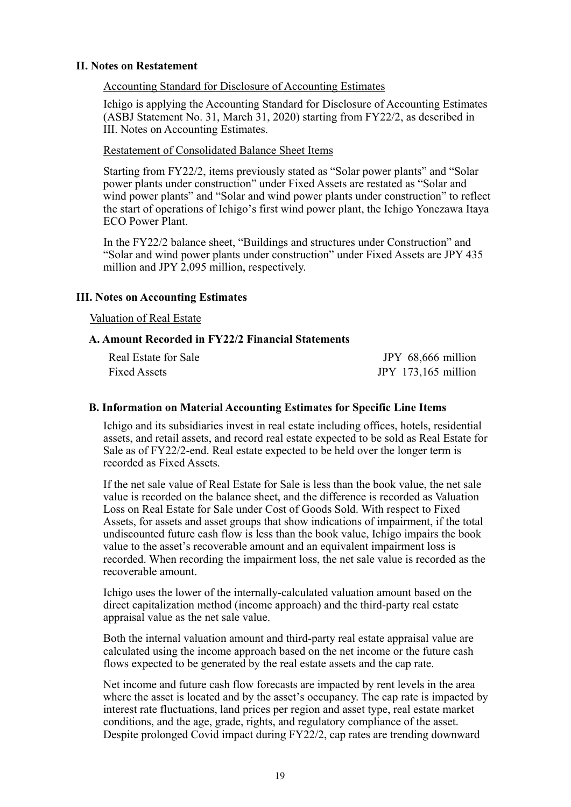#### **II. Notes on Restatement**

Accounting Standard for Disclosure of Accounting Estimates

Ichigo is applying the Accounting Standard for Disclosure of Accounting Estimates (ASBJ Statement No. 31, March 31, 2020) starting from FY22/2, as described in III. Notes on Accounting Estimates.

Restatement of Consolidated Balance Sheet Items

Starting from FY22/2, items previously stated as "Solar power plants" and "Solar power plants under construction" under Fixed Assets are restated as "Solar and wind power plants" and "Solar and wind power plants under construction" to reflect the start of operations of Ichigo's first wind power plant, the Ichigo Yonezawa Itaya ECO Power Plant.

In the FY22/2 balance sheet, "Buildings and structures under Construction" and "Solar and wind power plants under construction" under Fixed Assets are JPY 435 million and JPY 2,095 million, respectively.

#### **III. Notes on Accounting Estimates**

#### Valuation of Real Estate

#### **A. Amount Recorded in FY22/2 Financial Statements**

| Real Estate for Sale | JPY 68,666 million  |
|----------------------|---------------------|
| Fixed Assets         | JPY 173,165 million |

#### **B. Information on Material Accounting Estimates for Specific Line Items**

Ichigo and its subsidiaries invest in real estate including offices, hotels, residential assets, and retail assets, and record real estate expected to be sold as Real Estate for Sale as of FY22/2-end. Real estate expected to be held over the longer term is recorded as Fixed Assets.

If the net sale value of Real Estate for Sale is less than the book value, the net sale value is recorded on the balance sheet, and the difference is recorded as Valuation Loss on Real Estate for Sale under Cost of Goods Sold. With respect to Fixed Assets, for assets and asset groups that show indications of impairment, if the total undiscounted future cash flow is less than the book value, Ichigo impairs the book value to the asset's recoverable amount and an equivalent impairment loss is recorded. When recording the impairment loss, the net sale value is recorded as the recoverable amount.

Ichigo uses the lower of the internally-calculated valuation amount based on the direct capitalization method (income approach) and the third-party real estate appraisal value as the net sale value.

Both the internal valuation amount and third-party real estate appraisal value are calculated using the income approach based on the net income or the future cash flows expected to be generated by the real estate assets and the cap rate.

Net income and future cash flow forecasts are impacted by rent levels in the area where the asset is located and by the asset's occupancy. The cap rate is impacted by interest rate fluctuations, land prices per region and asset type, real estate market conditions, and the age, grade, rights, and regulatory compliance of the asset. Despite prolonged Covid impact during FY22/2, cap rates are trending downward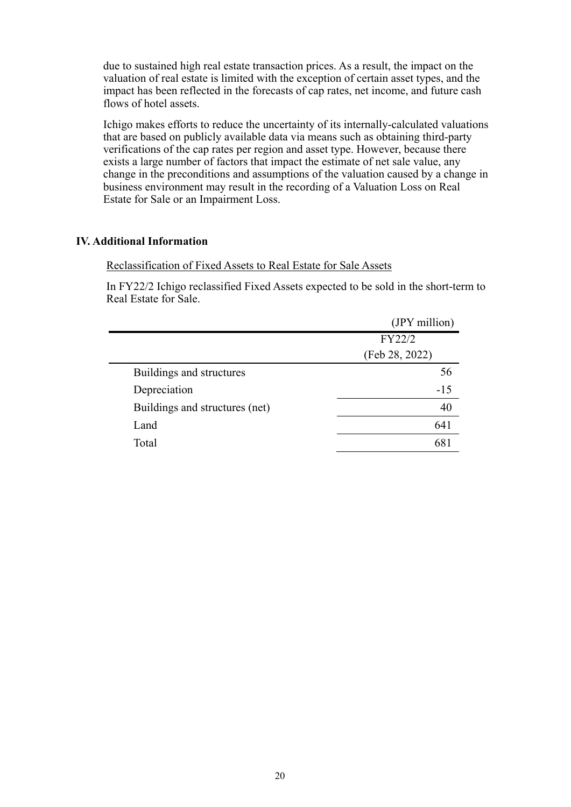due to sustained high real estate transaction prices. As a result, the impact on the valuation of real estate is limited with the exception of certain asset types, and the impact has been reflected in the forecasts of cap rates, net income, and future cash flows of hotel assets.

Ichigo makes efforts to reduce the uncertainty of its internally-calculated valuations that are based on publicly available data via means such as obtaining third-party verifications of the cap rates per region and asset type. However, because there exists a large number of factors that impact the estimate of net sale value, any change in the preconditions and assumptions of the valuation caused by a change in business environment may result in the recording of a Valuation Loss on Real Estate for Sale or an Impairment Loss.

### **IV. Additional Information**

#### Reclassification of Fixed Assets to Real Estate for Sale Assets

In FY22/2 Ichigo reclassified Fixed Assets expected to be sold in the short-term to Real Estate for Sale.

| (JPY million)  |  |
|----------------|--|
| FY22/2         |  |
| (Feb 28, 2022) |  |
| 56             |  |
| $-15$          |  |
| 40             |  |
| 641            |  |
| 68             |  |
|                |  |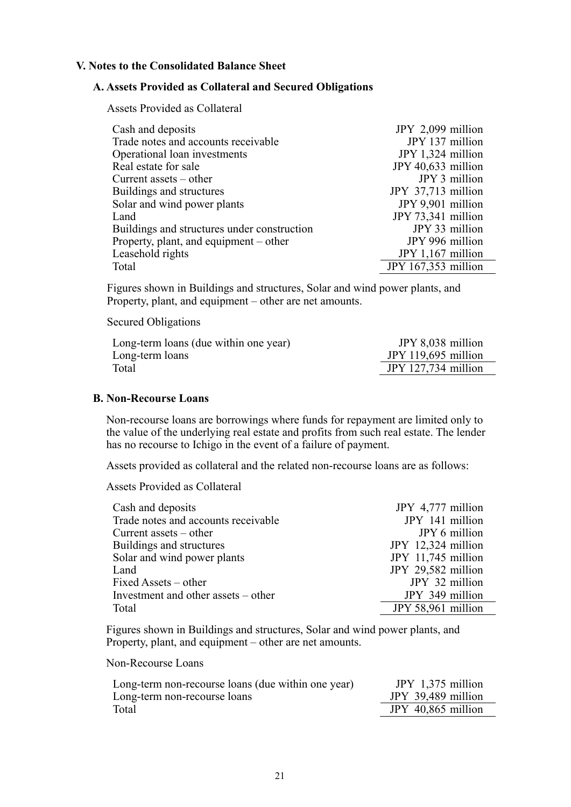#### **V. Notes to the Consolidated Balance Sheet**

#### **A. Assets Provided as Collateral and Secured Obligations**

Assets Provided as Collateral

| Cash and deposits                           | JPY 2,099 million   |
|---------------------------------------------|---------------------|
| Trade notes and accounts receivable         | JPY 137 million     |
| Operational loan investments                | JPY 1,324 million   |
| Real estate for sale                        | JPY 40,633 million  |
| Current assets $-$ other                    | JPY 3 million       |
| Buildings and structures                    | JPY 37,713 million  |
| Solar and wind power plants                 | JPY 9,901 million   |
| Land                                        | JPY 73,341 million  |
| Buildings and structures under construction | JPY 33 million      |
| Property, plant, and equipment – other      | JPY 996 million     |
| Leasehold rights                            | $JPY 1,167$ million |
| Total                                       | JPY 167,353 million |

Figures shown in Buildings and structures, Solar and wind power plants, and Property, plant, and equipment – other are net amounts.

Secured Obligations

| Long-term loans (due within one year) | JPY 8,038 million   |
|---------------------------------------|---------------------|
| Long-term loans                       | JPY 119,695 million |
| Total                                 | JPY 127,734 million |

#### **B. Non-Recourse Loans**

Non-recourse loans are borrowings where funds for repayment are limited only to the value of the underlying real estate and profits from such real estate. The lender has no recourse to Ichigo in the event of a failure of payment.

Assets provided as collateral and the related non-recourse loans are as follows:

Assets Provided as Collateral

| Cash and deposits                   | JPY 4,777 million  |
|-------------------------------------|--------------------|
| Trade notes and accounts receivable | JPY 141 million    |
| Current assets $-$ other            | JPY 6 million      |
| Buildings and structures            | JPY 12,324 million |
| Solar and wind power plants         | JPY 11,745 million |
| Land                                | JPY 29,582 million |
| Fixed Assets – other                | JPY 32 million     |
| Investment and other assets – other | JPY 349 million    |
| Total                               | JPY 58,961 million |

Figures shown in Buildings and structures, Solar and wind power plants, and Property, plant, and equipment – other are net amounts.

Non-Recourse Loans

| Long-term non-recourse loans (due within one year) | JPY $1,375$ million  |
|----------------------------------------------------|----------------------|
| Long-term non-recourse loans                       | JPY 39,489 million   |
| Total                                              | JPY $40,865$ million |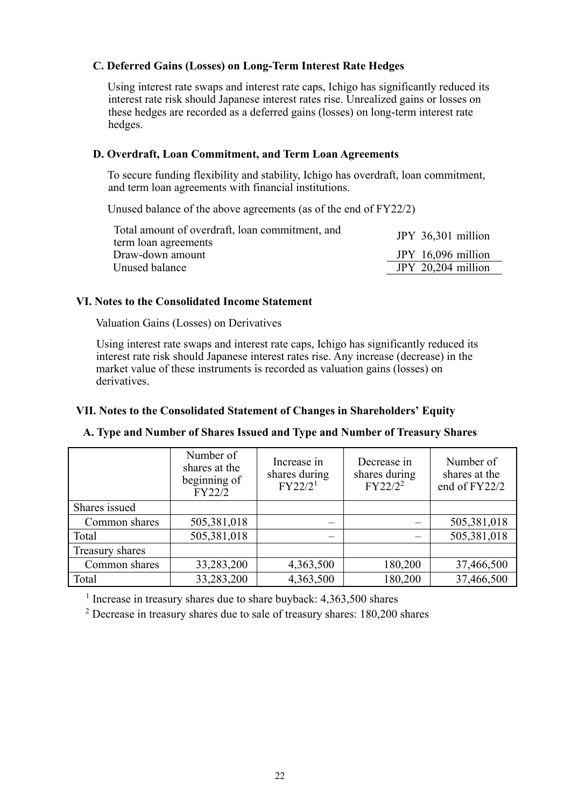# **C. Deferred Gains (Losses) on Long-Term Interest Rate Hedges**

Using interest rate swaps and interest rate caps, Ichigo has significantly reduced its interest rate risk should Japanese interest rates rise. Unrealized gains or losses on these hedges are recorded as a deferred gains (losses) on long-term interest rate hedges.

## **D. Overdraft, Loan Commitment, and Term Loan Agreements**

To secure funding flexibility and stability, Ichigo has overdraft, loan commitment, and term loan agreements with financial institutions.

Unused balance of the above agreements (as of the end of FY22/2)

| Total amount of overdraft, loan commitment, and | JPY 36,301 million   |
|-------------------------------------------------|----------------------|
| term loan agreements                            |                      |
| Draw-down amount                                | JPY $16,096$ million |
| Unused balance                                  | JPY $20,204$ million |
|                                                 |                      |

## **VI. Notes to the Consolidated Income Statement**

Valuation Gains (Losses) on Derivatives

Using interest rate swaps and interest rate caps, Ichigo has significantly reduced its interest rate risk should Japanese interest rates rise. Any increase (decrease) in the market value of these instruments is recorded as valuation gains (losses) on derivatives.

# **VII. Notes to the Consolidated Statement of Changes in Shareholders' Equity**

## **A. Type and Number of Shares Issued and Type and Number of Treasury Shares**

|                 | Number of<br>shares at the<br>beginning of<br>FY22/2 | Increase in<br>shares during<br>FY22/2 <sup>1</sup> | Decrease in<br>shares during<br>$FY22/2^2$ | Number of<br>shares at the<br>end of FY22/2 |
|-----------------|------------------------------------------------------|-----------------------------------------------------|--------------------------------------------|---------------------------------------------|
| Shares issued   |                                                      |                                                     |                                            |                                             |
| Common shares   | 505,381,018                                          |                                                     |                                            | 505,381,018                                 |
| Total           | 505,381,018                                          |                                                     |                                            | 505,381,018                                 |
| Treasury shares |                                                      |                                                     |                                            |                                             |
| Common shares   | 33,283,200                                           | 4,363,500                                           | 180,200                                    | 37,466,500                                  |
| Total           | 33,283,200                                           | 4,363,500                                           | 180,200                                    | 37,466,500                                  |

<sup>1</sup> Increase in treasury shares due to share buyback: 4,363,500 shares

 $2$  Decrease in treasury shares due to sale of treasury shares: 180,200 shares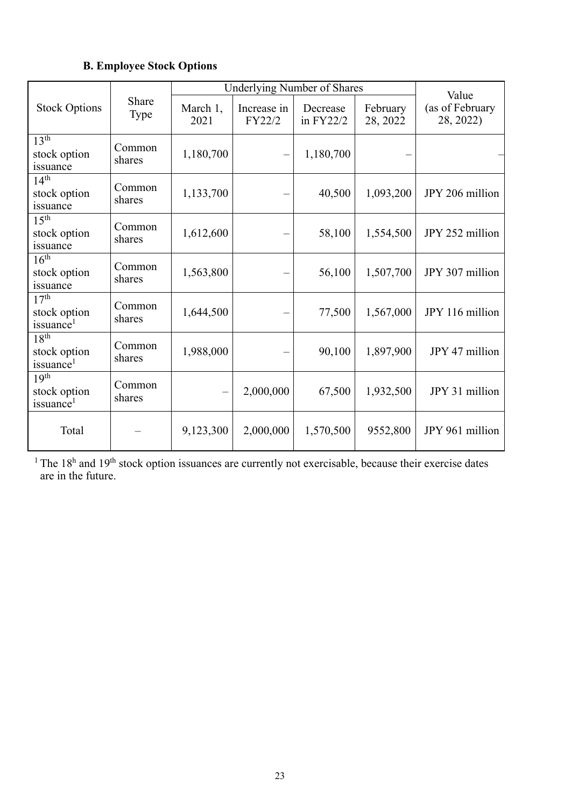# **B. Employee Stock Options**

|                                                           |                      | <b>Underlying Number of Shares</b> |                                 |                       | Value                |                              |
|-----------------------------------------------------------|----------------------|------------------------------------|---------------------------------|-----------------------|----------------------|------------------------------|
| <b>Stock Options</b>                                      | Share<br><b>Type</b> | March 1,<br>2021                   | Increase in<br>FY22/2           | Decrease<br>in FY22/2 | February<br>28, 2022 | (as of February<br>28, 2022) |
| 13 <sup>th</sup><br>stock option<br>issuance              | Common<br>shares     | 1,180,700                          | $\equiv$                        | 1,180,700             |                      |                              |
| 14 <sup>th</sup><br>stock option<br>issuance              | Common<br>shares     | 1,133,700                          | —                               | 40,500                | 1,093,200            | JPY 206 million              |
| 15 <sup>th</sup><br>stock option<br>issuance              | Common<br>shares     | 1,612,600                          | —                               | 58,100                | 1,554,500            | JPY 252 million              |
| 16 <sup>th</sup><br>stock option<br>issuance              | Common<br>shares     | 1,563,800                          | $\overbrace{\qquad \qquad }^{}$ | 56,100                | 1,507,700            | JPY 307 million              |
| 17 <sup>th</sup><br>stock option<br>issuance <sup>1</sup> | Common<br>shares     | 1,644,500                          |                                 | 77,500                | 1,567,000            | JPY 116 million              |
| 18 <sup>th</sup><br>stock option<br>issuance <sup>1</sup> | Common<br>shares     | 1,988,000                          | —                               | 90,100                | 1,897,900            | JPY 47 million               |
| 19 <sup>th</sup><br>stock option<br>issuance <sup>1</sup> | Common<br>shares     |                                    | 2,000,000                       | 67,500                | 1,932,500            | JPY 31 million               |
| Total                                                     |                      | 9,123,300                          | 2,000,000                       | 1,570,500             | 9552,800             | JPY 961 million              |

<sup>1</sup> The  $18<sup>h</sup>$  and  $19<sup>th</sup>$  stock option issuances are currently not exercisable, because their exercise dates are in the future.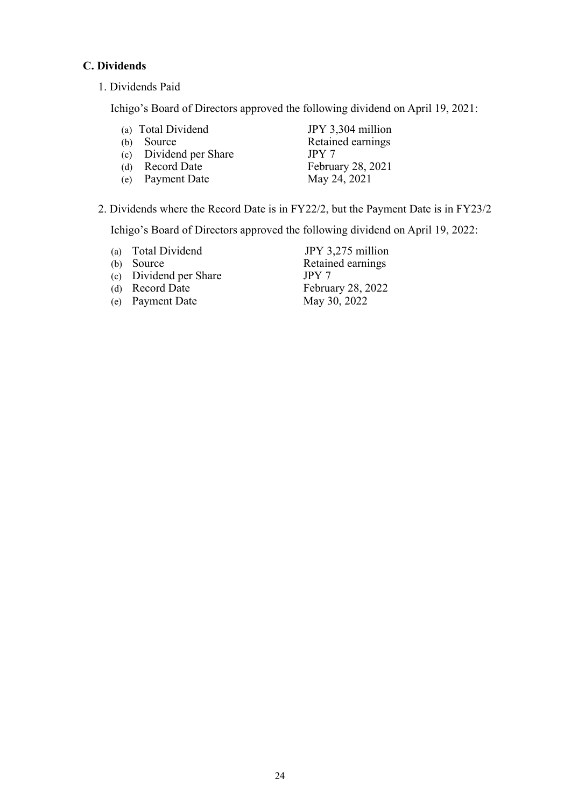# **C. Dividends**

1. Dividends Paid

Ichigo's Board of Directors approved the following dividend on April 19, 2021:

- (a) Total Dividend JPY 3,304 million<br>
(b) Source Retained earnings Retained earnings (c) Dividend per Share JPY 7<br>
(d) Record Date Februa
- $(e)$  Payment Date

February 28, 2021<br>May 24, 2021

2. Dividends where the Record Date is in FY22/2, but the Payment Date is in FY23/2

Ichigo's Board of Directors approved the following dividend on April 19, 2022:

- 
- 
- (c) Dividend per Share JPY 7<br>
(d) Record Date Februa
- 
- (e) Payment Date May 30, 2022

(a) Total Dividend JPY 3,275 million<br>
(b) Source Retained earnings Retained earnings February 28, 2022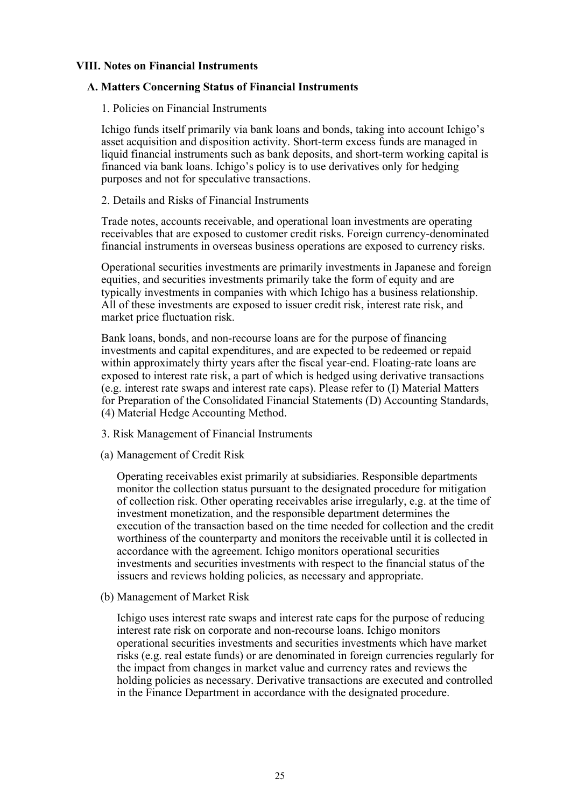#### **VIII. Notes on Financial Instruments**

#### **A. Matters Concerning Status of Financial Instruments**

1. Policies on Financial Instruments

Ichigo funds itself primarily via bank loans and bonds, taking into account Ichigo's asset acquisition and disposition activity. Short-term excess funds are managed in liquid financial instruments such as bank deposits, and short-term working capital is financed via bank loans. Ichigo's policy is to use derivatives only for hedging purposes and not for speculative transactions.

2. Details and Risks of Financial Instruments

Trade notes, accounts receivable, and operational loan investments are operating receivables that are exposed to customer credit risks. Foreign currency-denominated financial instruments in overseas business operations are exposed to currency risks.

Operational securities investments are primarily investments in Japanese and foreign equities, and securities investments primarily take the form of equity and are typically investments in companies with which Ichigo has a business relationship. All of these investments are exposed to issuer credit risk, interest rate risk, and market price fluctuation risk.

Bank loans, bonds, and non-recourse loans are for the purpose of financing investments and capital expenditures, and are expected to be redeemed or repaid within approximately thirty years after the fiscal year-end. Floating-rate loans are exposed to interest rate risk, a part of which is hedged using derivative transactions (e.g. interest rate swaps and interest rate caps). Please refer to (I) Material Matters for Preparation of the Consolidated Financial Statements (D) Accounting Standards, (4) Material Hedge Accounting Method.

- 3. Risk Management of Financial Instruments
- (a) Management of Credit Risk

Operating receivables exist primarily at subsidiaries. Responsible departments monitor the collection status pursuant to the designated procedure for mitigation of collection risk. Other operating receivables arise irregularly, e.g. at the time of investment monetization, and the responsible department determines the execution of the transaction based on the time needed for collection and the credit worthiness of the counterparty and monitors the receivable until it is collected in accordance with the agreement. Ichigo monitors operational securities investments and securities investments with respect to the financial status of the issuers and reviews holding policies, as necessary and appropriate.

(b) Management of Market Risk

Ichigo uses interest rate swaps and interest rate caps for the purpose of reducing interest rate risk on corporate and non-recourse loans. Ichigo monitors operational securities investments and securities investments which have market risks (e.g. real estate funds) or are denominated in foreign currencies regularly for the impact from changes in market value and currency rates and reviews the holding policies as necessary. Derivative transactions are executed and controlled in the Finance Department in accordance with the designated procedure.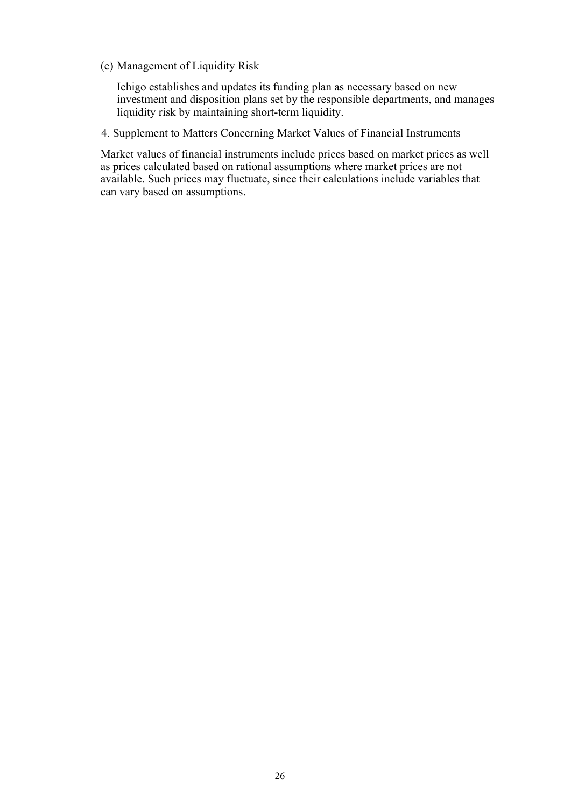(c) Management of Liquidity Risk

Ichigo establishes and updates its funding plan as necessary based on new investment and disposition plans set by the responsible departments, and manages liquidity risk by maintaining short-term liquidity.

4. Supplement to Matters Concerning Market Values of Financial Instruments

Market values of financial instruments include prices based on market prices as well as prices calculated based on rational assumptions where market prices are not available. Such prices may fluctuate, since their calculations include variables that can vary based on assumptions.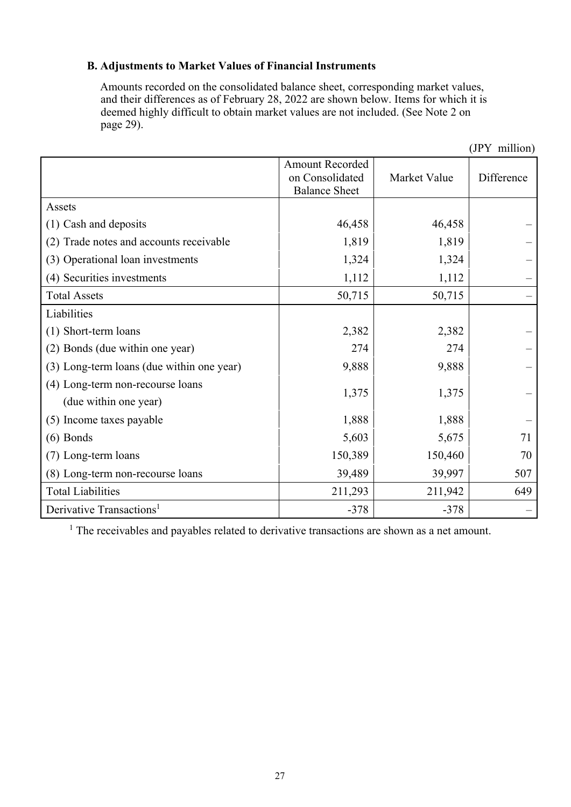# **B. Adjustments to Market Values of Financial Instruments**

Amounts recorded on the consolidated balance sheet, corresponding market values, and their differences as of February 28, 2022 are shown below. Items for which it is deemed highly difficult to obtain market values are not included. (See Note 2 on page 29).

|                                                           |                                                                   |              | (JPY million) |
|-----------------------------------------------------------|-------------------------------------------------------------------|--------------|---------------|
|                                                           | <b>Amount Recorded</b><br>on Consolidated<br><b>Balance Sheet</b> | Market Value | Difference    |
| Assets                                                    |                                                                   |              |               |
| (1) Cash and deposits                                     | 46,458                                                            | 46,458       |               |
| (2) Trade notes and accounts receivable                   | 1,819                                                             | 1,819        |               |
| (3) Operational loan investments                          | 1,324                                                             | 1,324        |               |
| (4) Securities investments                                | 1,112                                                             | 1,112        |               |
| <b>Total Assets</b>                                       | 50,715                                                            | 50,715       |               |
| Liabilities                                               |                                                                   |              |               |
| (1) Short-term loans                                      | 2,382                                                             | 2,382        |               |
| (2) Bonds (due within one year)                           | 274                                                               | 274          |               |
| (3) Long-term loans (due within one year)                 | 9,888                                                             | 9,888        |               |
| (4) Long-term non-recourse loans<br>(due within one year) | 1,375                                                             | 1,375        |               |
| (5) Income taxes payable                                  | 1,888                                                             | 1,888        |               |
| $(6)$ Bonds                                               | 5,603                                                             | 5,675        | 71            |
| (7) Long-term loans                                       | 150,389                                                           | 150,460      | 70            |
| (8) Long-term non-recourse loans                          | 39,489                                                            | 39,997       | 507           |
| <b>Total Liabilities</b>                                  | 211,293                                                           | 211,942      | 649           |
| Derivative Transactions <sup>1</sup>                      | $-378$                                                            | $-378$       |               |

<sup>1</sup> The receivables and payables related to derivative transactions are shown as a net amount.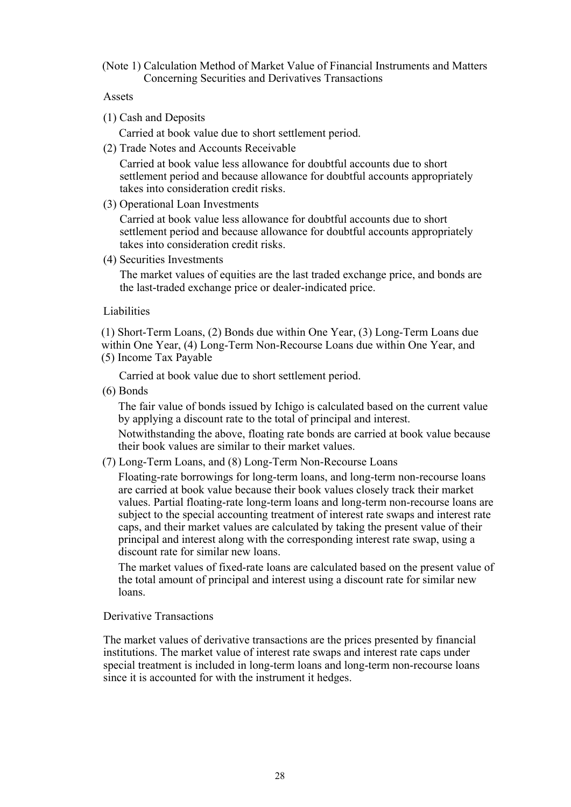(Note 1) Calculation Method of Market Value of Financial Instruments and Matters Concerning Securities and Derivatives Transactions

#### Assets

(1) Cash and Deposits

Carried at book value due to short settlement period.

(2) Trade Notes and Accounts Receivable

Carried at book value less allowance for doubtful accounts due to short settlement period and because allowance for doubtful accounts appropriately takes into consideration credit risks.

(3) Operational Loan Investments

Carried at book value less allowance for doubtful accounts due to short settlement period and because allowance for doubtful accounts appropriately takes into consideration credit risks.

(4) Securities Investments

The market values of equities are the last traded exchange price, and bonds are the last-traded exchange price or dealer-indicated price.

#### Liabilities

(1) Short-Term Loans, (2) Bonds due within One Year, (3) Long-Term Loans due within One Year, (4) Long-Term Non-Recourse Loans due within One Year, and

(5) Income Tax Payable

Carried at book value due to short settlement period.

(6) Bonds

The fair value of bonds issued by Ichigo is calculated based on the current value by applying a discount rate to the total of principal and interest.

Notwithstanding the above, floating rate bonds are carried at book value because their book values are similar to their market values.

(7) Long-Term Loans, and (8) Long-Term Non-Recourse Loans

Floating-rate borrowings for long-term loans, and long-term non-recourse loans are carried at book value because their book values closely track their market values. Partial floating-rate long-term loans and long-term non-recourse loans are subject to the special accounting treatment of interest rate swaps and interest rate caps, and their market values are calculated by taking the present value of their principal and interest along with the corresponding interest rate swap, using a discount rate for similar new loans.

The market values of fixed-rate loans are calculated based on the present value of the total amount of principal and interest using a discount rate for similar new loans.

Derivative Transactions

The market values of derivative transactions are the prices presented by financial institutions. The market value of interest rate swaps and interest rate caps under special treatment is included in long-term loans and long-term non-recourse loans since it is accounted for with the instrument it hedges.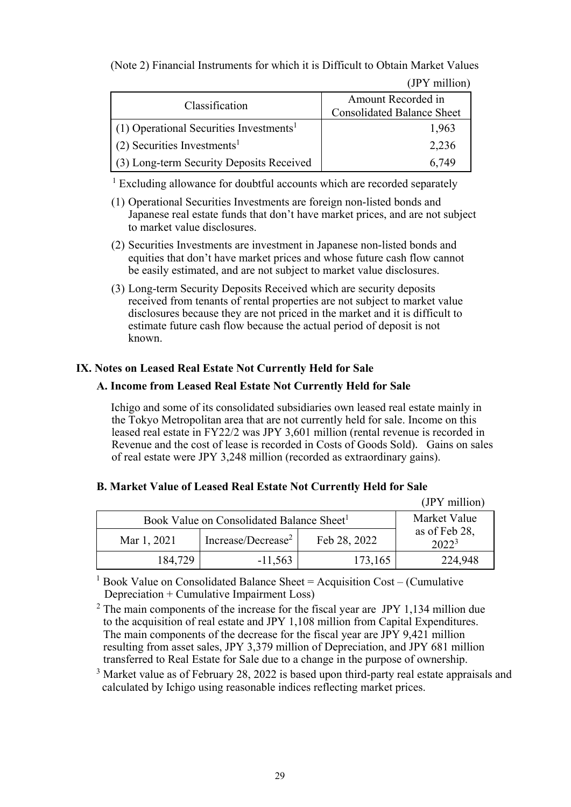(Note 2) Financial Instruments for which it is Difficult to Obtain Market Values

(JPY million)

| Classification                                        | Amount Recorded in<br><b>Consolidated Balance Sheet</b> |
|-------------------------------------------------------|---------------------------------------------------------|
| $(1)$ Operational Securities Investments <sup>1</sup> | 1,963                                                   |
| $(2)$ Securities Investments <sup>1</sup>             | 2,236                                                   |
| (3) Long-term Security Deposits Received              | 6.749                                                   |

<sup>1</sup> Excluding allowance for doubtful accounts which are recorded separately

- (1) Operational Securities Investments are foreign non-listed bonds and Japanese real estate funds that don't have market prices, and are not subject to market value disclosures.
- (2) Securities Investments are investment in Japanese non-listed bonds and equities that don't have market prices and whose future cash flow cannot be easily estimated, and are not subject to market value disclosures.
- (3) Long-term Security Deposits Received which are security deposits received from tenants of rental properties are not subject to market value disclosures because they are not priced in the market and it is difficult to estimate future cash flow because the actual period of deposit is not known.

# **IX. Notes on Leased Real Estate Not Currently Held for Sale**

# **A. Income from Leased Real Estate Not Currently Held for Sale**

Ichigo and some of its consolidated subsidiaries own leased real estate mainly in the Tokyo Metropolitan area that are not currently held for sale. Income on this leased real estate in FY22/2 was JPY 3,601 million (rental revenue is recorded in Revenue and the cost of lease is recorded in Costs of Goods Sold). Gains on sales of real estate were JPY 3,248 million (recorded as extraordinary gains).

# **B. Market Value of Leased Real Estate Not Currently Held for Sale**

|                                                       |                                |              | (JPY million)                      |
|-------------------------------------------------------|--------------------------------|--------------|------------------------------------|
| Book Value on Consolidated Balance Sheet <sup>1</sup> | Market Value                   |              |                                    |
| Mar 1, 2021                                           | Increase/Decrease <sup>2</sup> | Feb 28, 2022 | as of Feb 28,<br>2022 <sup>3</sup> |
| 184,729                                               | $-11,563$                      | 173,165      | 224,948                            |

<sup>1</sup> Book Value on Consolidated Balance Sheet = Acquisition Cost – (Cumulative Depreciation + Cumulative Impairment Loss)

 $2$  The main components of the increase for the fiscal year are JPY 1,134 million due to the acquisition of real estate and JPY 1,108 million from Capital Expenditures. The main components of the decrease for the fiscal year are JPY 9,421 million resulting from asset sales, JPY 3,379 million of Depreciation, and JPY 681 million transferred to Real Estate for Sale due to a change in the purpose of ownership.

<sup>3</sup> Market value as of February 28, 2022 is based upon third-party real estate appraisals and calculated by Ichigo using reasonable indices reflecting market prices.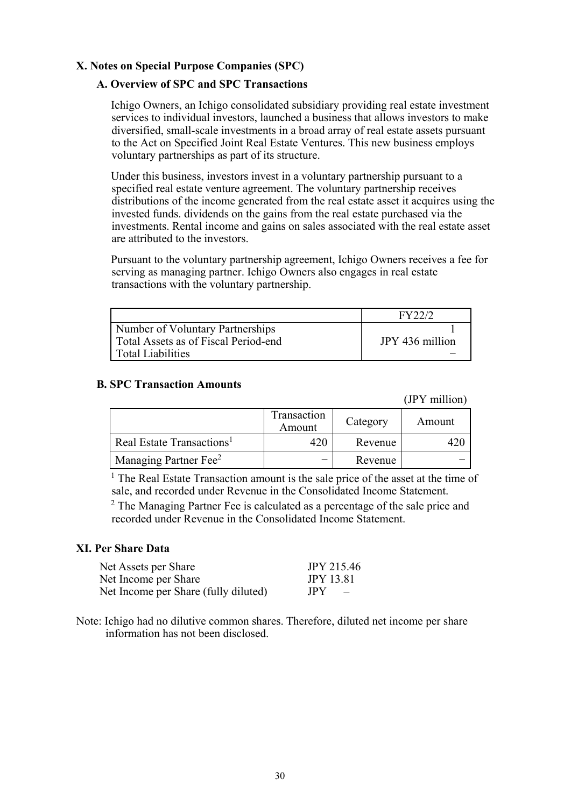## **X. Notes on Special Purpose Companies (SPC)**

## **A. Overview of SPC and SPC Transactions**

Ichigo Owners, an Ichigo consolidated subsidiary providing real estate investment services to individual investors, launched a business that allows investors to make diversified, small-scale investments in a broad array of real estate assets pursuant to the Act on Specified Joint Real Estate Ventures. This new business employs voluntary partnerships as part of its structure.

Under this business, investors invest in a voluntary partnership pursuant to a specified real estate venture agreement. The voluntary partnership receives distributions of the income generated from the real estate asset it acquires using the invested funds. dividends on the gains from the real estate purchased via the investments. Rental income and gains on sales associated with the real estate asset are attributed to the investors.

Pursuant to the voluntary partnership agreement, Ichigo Owners receives a fee for serving as managing partner. Ichigo Owners also engages in real estate transactions with the voluntary partnership.

|                                      | EV22/2          |
|--------------------------------------|-----------------|
| Number of Voluntary Partnerships     |                 |
| Total Assets as of Fiscal Period-end | JPY 436 million |
| l Total Liabilities                  |                 |

#### **B. SPC Transaction Amounts**

(JPY million)

|                                       | Transaction<br>Amount | Category | Amount |
|---------------------------------------|-----------------------|----------|--------|
| Real Estate Transactions <sup>1</sup> |                       | Revenue  |        |
| 'Managing Partner Fee <sup>2</sup>    |                       | Revenue  |        |

<sup>1</sup> The Real Estate Transaction amount is the sale price of the asset at the time of sale, and recorded under Revenue in the Consolidated Income Statement.

 $2$  The Managing Partner Fee is calculated as a percentage of the sale price and recorded under Revenue in the Consolidated Income Statement.

#### **XI. Per Share Data**

| Net Assets per Share                 | <b>JPY 215.46</b> |
|--------------------------------------|-------------------|
| Net Income per Share                 | <b>JPY 13.81</b>  |
| Net Income per Share (fully diluted) | JPY<br>$\sim$ $-$ |

Note: Ichigo had no dilutive common shares. Therefore, diluted net income per share information has not been disclosed.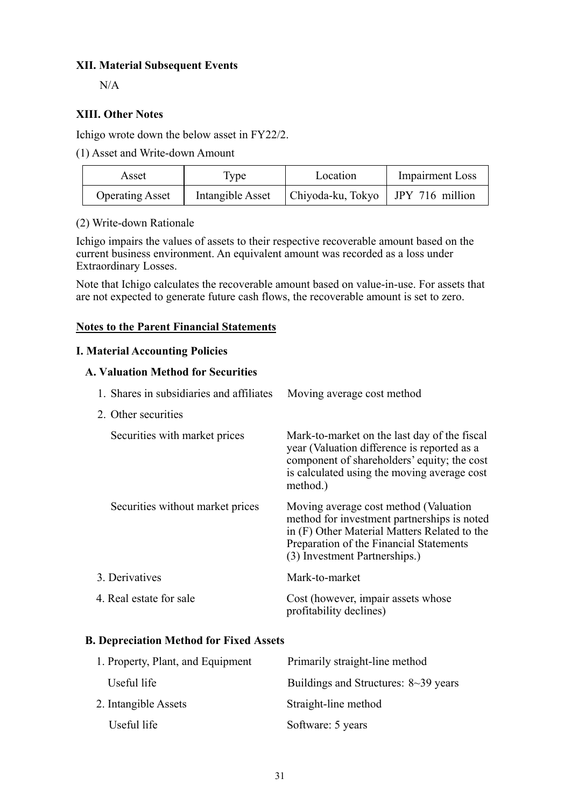# **XII. Material Subsequent Events**

 $N/A$ 

## **XIII. Other Notes**

Ichigo wrote down the below asset in FY22/2.

(1) Asset and Write-down Amount

| Asset                  | 1 ype            | Location                            | <b>Impairment Loss</b> |
|------------------------|------------------|-------------------------------------|------------------------|
| <b>Operating Asset</b> | Intangible Asset | Chiyoda-ku, Tokyo   JPY 716 million |                        |

## (2) Write-down Rationale

Ichigo impairs the values of assets to their respective recoverable amount based on the current business environment. An equivalent amount was recorded as a loss under Extraordinary Losses.

Note that Ichigo calculates the recoverable amount based on value-in-use. For assets that are not expected to generate future cash flows, the recoverable amount is set to zero.

### **Notes to the Parent Financial Statements**

### **I. Material Accounting Policies**

### **A. Valuation Method for Securities**

| 1. Shares in subsidiaries and affiliates | Moving average cost method                                                                                                                                                                                       |
|------------------------------------------|------------------------------------------------------------------------------------------------------------------------------------------------------------------------------------------------------------------|
| 2. Other securities                      |                                                                                                                                                                                                                  |
| Securities with market prices            | Mark-to-market on the last day of the fiscal<br>year (Valuation difference is reported as a<br>component of shareholders' equity; the cost<br>is calculated using the moving average cost<br>method.)            |
| Securities without market prices         | Moving average cost method (Valuation<br>method for investment partnerships is noted<br>in (F) Other Material Matters Related to the<br>Preparation of the Financial Statements<br>(3) Investment Partnerships.) |
| 3. Derivatives                           | Mark-to-market                                                                                                                                                                                                   |
| 4. Real estate for sale                  | Cost (however, impair assets whose<br>profitability declines)                                                                                                                                                    |

# **B. Depreciation Method for Fixed Assets**

| 1. Property, Plant, and Equipment | Primarily straight-line method              |
|-----------------------------------|---------------------------------------------|
| Useful life                       | Buildings and Structures: $8 \sim 39$ years |
| 2. Intangible Assets              | Straight-line method                        |
| Useful life                       | Software: 5 years                           |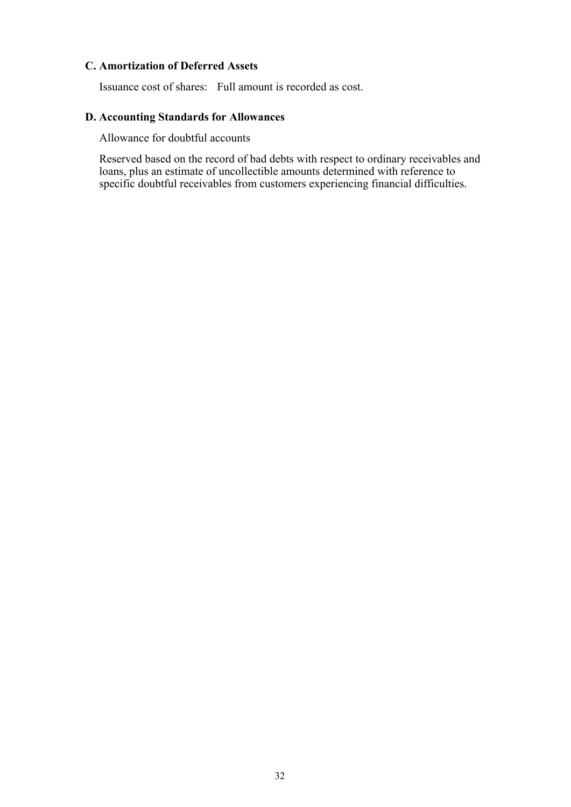# **C. Amortization of Deferred Assets**

Issuance cost of shares: Full amount is recorded as cost.

# **D. Accounting Standards for Allowances**

Allowance for doubtful accounts

Reserved based on the record of bad debts with respect to ordinary receivables and loans, plus an estimate of uncollectible amounts determined with reference to specific doubtful receivables from customers experiencing financial difficulties.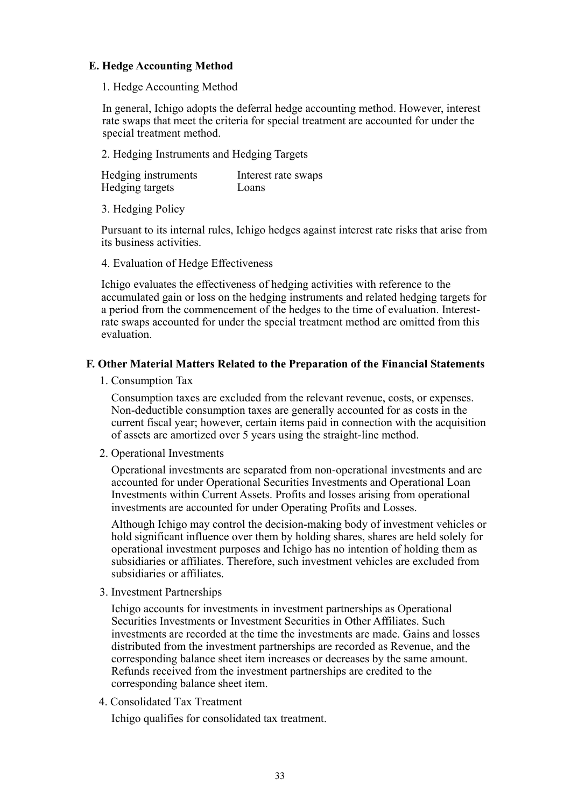## **E. Hedge Accounting Method**

1. Hedge Accounting Method

In general, Ichigo adopts the deferral hedge accounting method. However, interest rate swaps that meet the criteria for special treatment are accounted for under the special treatment method.

2. Hedging Instruments and Hedging Targets

| Hedging instruments | Interest rate swaps |
|---------------------|---------------------|
| Hedging targets     | Loans               |

3. Hedging Policy

Pursuant to its internal rules, Ichigo hedges against interest rate risks that arise from its business activities.

4. Evaluation of Hedge Effectiveness

Ichigo evaluates the effectiveness of hedging activities with reference to the accumulated gain or loss on the hedging instruments and related hedging targets for a period from the commencement of the hedges to the time of evaluation. Interestrate swaps accounted for under the special treatment method are omitted from this evaluation.

### **F. Other Material Matters Related to the Preparation of the Financial Statements**

1. Consumption Tax

Consumption taxes are excluded from the relevant revenue, costs, or expenses. Non-deductible consumption taxes are generally accounted for as costs in the current fiscal year; however, certain items paid in connection with the acquisition of assets are amortized over 5 years using the straight-line method.

2. Operational Investments

Operational investments are separated from non-operational investments and are accounted for under Operational Securities Investments and Operational Loan Investments within Current Assets. Profits and losses arising from operational investments are accounted for under Operating Profits and Losses.

Although Ichigo may control the decision-making body of investment vehicles or hold significant influence over them by holding shares, shares are held solely for operational investment purposes and Ichigo has no intention of holding them as subsidiaries or affiliates. Therefore, such investment vehicles are excluded from subsidiaries or affiliates.

3. Investment Partnerships

Ichigo accounts for investments in investment partnerships as Operational Securities Investments or Investment Securities in Other Affiliates. Such investments are recorded at the time the investments are made. Gains and losses distributed from the investment partnerships are recorded as Revenue, and the corresponding balance sheet item increases or decreases by the same amount. Refunds received from the investment partnerships are credited to the corresponding balance sheet item.

4. Consolidated Tax Treatment

Ichigo qualifies for consolidated tax treatment.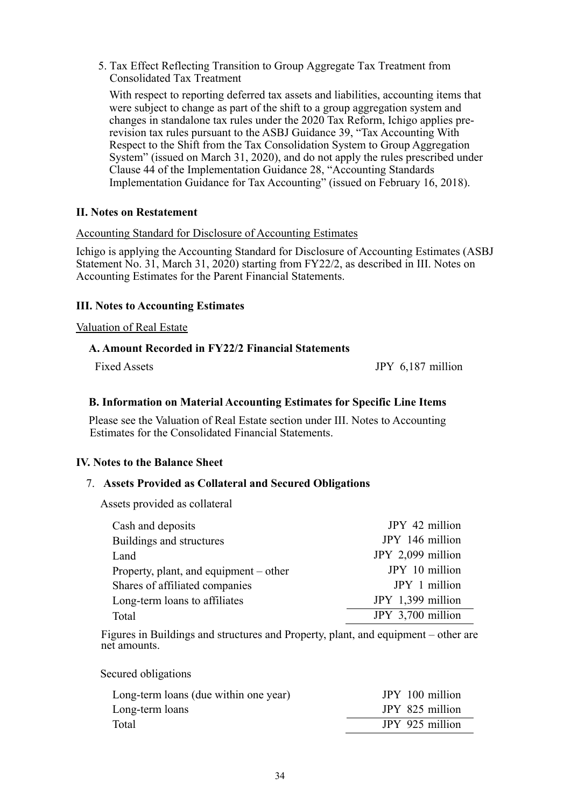5. Tax Effect Reflecting Transition to Group Aggregate Tax Treatment from Consolidated Tax Treatment

With respect to reporting deferred tax assets and liabilities, accounting items that were subject to change as part of the shift to a group aggregation system and changes in standalone tax rules under the 2020 Tax Reform, Ichigo applies prerevision tax rules pursuant to the ASBJ Guidance 39, "Tax Accounting With Respect to the Shift from the Tax Consolidation System to Group Aggregation System" (issued on March 31, 2020), and do not apply the rules prescribed under Clause 44 of the Implementation Guidance 28, "Accounting Standards Implementation Guidance for Tax Accounting" (issued on February 16, 2018).

### **II. Notes on Restatement**

### Accounting Standard for Disclosure of Accounting Estimates

Ichigo is applying the Accounting Standard for Disclosure of Accounting Estimates (ASBJ Statement No. 31, March 31, 2020) starting from FY22/2, as described in III. Notes on Accounting Estimates for the Parent Financial Statements.

### **III. Notes to Accounting Estimates**

#### Valuation of Real Estate

### **A. Amount Recorded in FY22/2 Financial Statements**

Fixed Assets **JPY 6.187 million** 

## **B. Information on Material Accounting Estimates for Specific Line Items**

Please see the Valuation of Real Estate section under III. Notes to Accounting Estimates for the Consolidated Financial Statements.

### **IV. Notes to the Balance Sheet**

### 7. **Assets Provided as Collateral and Secured Obligations**

Assets provided as collateral

| Cash and deposits                      | JPY 42 million    |
|----------------------------------------|-------------------|
| Buildings and structures               | JPY 146 million   |
| Land                                   | JPY 2,099 million |
| Property, plant, and equipment – other | JPY 10 million    |
| Shares of affiliated companies         | JPY 1 million     |
| Long-term loans to affiliates          | JPY 1,399 million |
| Total                                  | JPY 3,700 million |

Figures in Buildings and structures and Property, plant, and equipment – other are net amounts.

Secured obligations

| Long-term loans (due within one year) | JPY 100 million |
|---------------------------------------|-----------------|
| Long-term loans                       | JPY 825 million |
| Total                                 | JPY 925 million |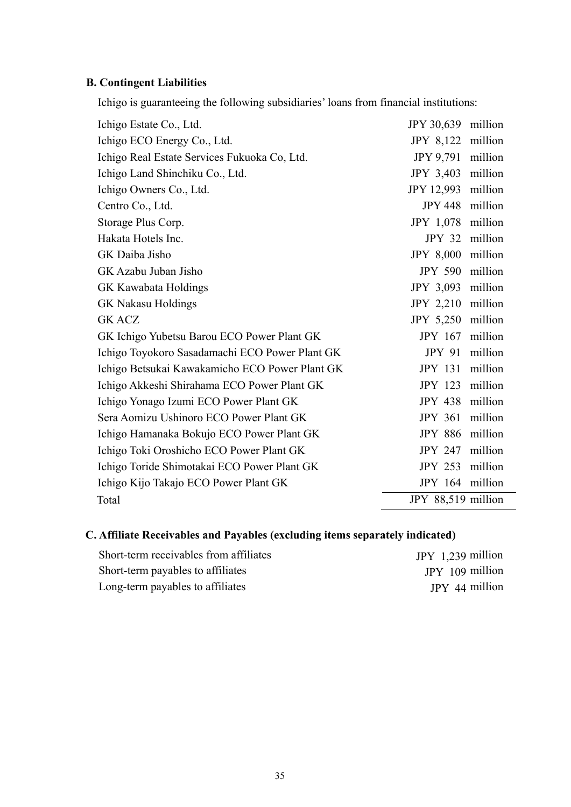# **B. Contingent Liabilities**

Ichigo is guaranteeing the following subsidiaries' loans from financial institutions:

| Ichigo Estate Co., Ltd.                        | JPY 30,639 million |         |
|------------------------------------------------|--------------------|---------|
| Ichigo ECO Energy Co., Ltd.                    | JPY 8,122 million  |         |
| Ichigo Real Estate Services Fukuoka Co, Ltd.   | <b>JPY 9,791</b>   | million |
| Ichigo Land Shinchiku Co., Ltd.                | <b>JPY 3,403</b>   | million |
| Ichigo Owners Co., Ltd.                        | <b>JPY 12,993</b>  | million |
| Centro Co., Ltd.                               | <b>JPY 448</b>     | million |
| Storage Plus Corp.                             | JPY 1,078          | million |
| Hakata Hotels Inc.                             | JPY 32 million     |         |
| GK Daiba Jisho                                 | <b>JPY 8,000</b>   | million |
| GK Azabu Juban Jisho                           | <b>JPY 590</b>     | million |
| GK Kawabata Holdings                           | JPY 3,093          | million |
| <b>GK Nakasu Holdings</b>                      | JPY 2,210          | million |
| <b>GK ACZ</b>                                  | <b>JPY 5,250</b>   | million |
| GK Ichigo Yubetsu Barou ECO Power Plant GK     | <b>JPY 167</b>     | million |
| Ichigo Toyokoro Sasadamachi ECO Power Plant GK | <b>JPY 91</b>      | million |
| Ichigo Betsukai Kawakamicho ECO Power Plant GK | <b>JPY 131</b>     | million |
| Ichigo Akkeshi Shirahama ECO Power Plant GK    | <b>JPY 123</b>     | million |
| Ichigo Yonago Izumi ECO Power Plant GK         | <b>JPY 438</b>     | million |
| Sera Aomizu Ushinoro ECO Power Plant GK        | <b>JPY 361</b>     | million |
| Ichigo Hamanaka Bokujo ECO Power Plant GK      | <b>JPY 886</b>     | million |
| Ichigo Toki Oroshicho ECO Power Plant GK       | <b>JPY 247</b>     | million |
| Ichigo Toride Shimotakai ECO Power Plant GK    | <b>JPY 253</b>     | million |
| Ichigo Kijo Takajo ECO Power Plant GK          | JPY 164 million    |         |
| Total                                          | JPY 88,519 million |         |

# **C. Affiliate Receivables and Payables (excluding items separately indicated)**

| Short-term receivables from affiliates | JPY $1,239$ million |
|----------------------------------------|---------------------|
| Short-term payables to affiliates      | $IPY$ 109 million   |
| Long-term payables to affiliates       | JPY 44 million      |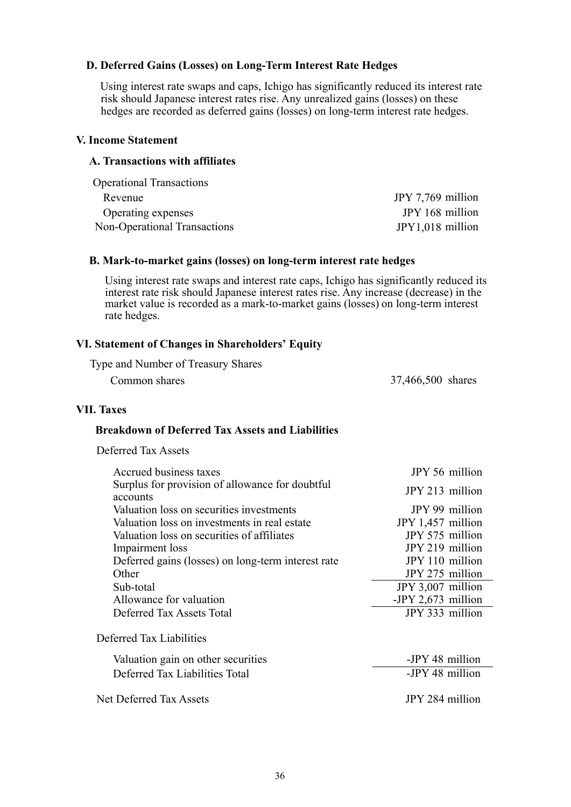## **D. Deferred Gains (Losses) on Long-Term Interest Rate Hedges**

Using interest rate swaps and caps, Ichigo has significantly reduced its interest rate risk should Japanese interest rates rise. Any unrealized gains (losses) on these hedges are recorded as deferred gains (losses) on long-term interest rate hedges.

#### **V. Income Statement**

#### **A. Transactions with affiliates**

| <b>Operational Transactions</b> |                   |
|---------------------------------|-------------------|
| Revenue                         | JPY 7,769 million |
| Operating expenses              | JPY 168 million   |
| Non-Operational Transactions    | JPY1,018 million  |

#### **B. Mark-to-market gains (losses) on long-term interest rate hedges**

Using interest rate swaps and interest rate caps, Ichigo has significantly reduced its interest rate risk should Japanese interest rates rise. Any increase (decrease) in the market value is recorded as a mark-to-market gains (losses) on long-term interest rate hedges.

#### **VI. Statement of Changes in Shareholders' Equity**

Type and Number of Treasury Shares

Common shares 37,466,500 shares

#### **VII. Taxes**

#### **Breakdown of Deferred Tax Assets and Liabilities**

Deferred Tax Assets

| Accrued business taxes                                      | JPY 56 million     |
|-------------------------------------------------------------|--------------------|
| Surplus for provision of allowance for doubtful<br>accounts | JPY 213 million    |
| Valuation loss on securities investments                    | JPY 99 million     |
| Valuation loss on investments in real estate                | JPY 1,457 million  |
| Valuation loss on securities of affiliates                  | JPY 575 million    |
| Impairment loss                                             | JPY 219 million    |
| Deferred gains (losses) on long-term interest rate          | JPY 110 million    |
| Other                                                       | JPY 275 million    |
| Sub-total                                                   | JPY 3,007 million  |
| Allowance for valuation                                     | -JPY 2,673 million |
| Deferred Tax Assets Total                                   | JPY 333 million    |
| Deferred Tax Liabilities                                    |                    |
| Valuation gain on other securities                          | -JPY 48 million    |
| Deferred Tax Liabilities Total                              | -JPY 48 million    |
| Net Deferred Tax Assets                                     | JPY 284 million    |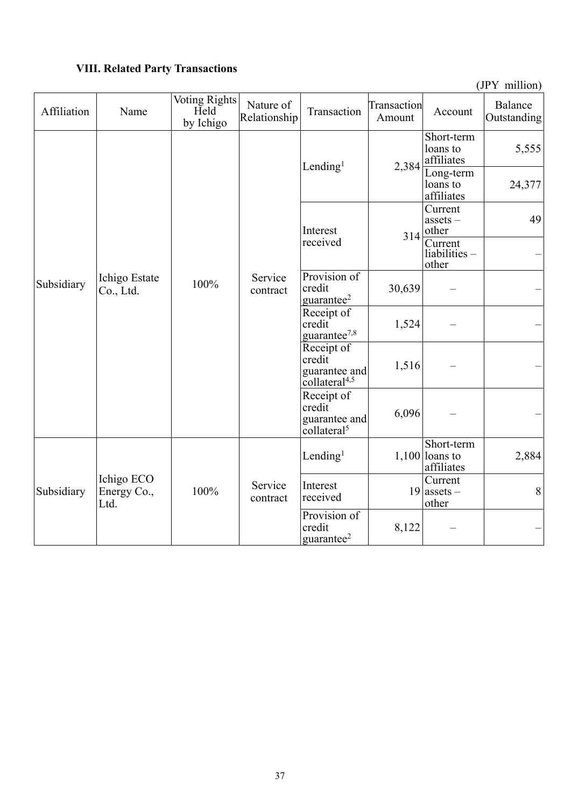# **VIII. Related Party Transactions**

(JPY million)

| Affiliation | Name                              | <b>Voting Rights</b><br>Held<br>by Ichigo | Nature of<br>Relationship | Transaction                                                        | Transaction<br>Amount | Account                                      | Balance<br>Outstanding |
|-------------|-----------------------------------|-------------------------------------------|---------------------------|--------------------------------------------------------------------|-----------------------|----------------------------------------------|------------------------|
| Subsidiary  |                                   | 100%                                      | Service<br>contract       | Lending <sup>1</sup>                                               | 2,384                 | Short-term<br>loans to<br>affiliates         | 5,555                  |
|             |                                   |                                           |                           |                                                                    |                       | Long-term<br>loans to<br>affiliates          | 24,377                 |
|             |                                   |                                           |                           | Interest                                                           | 314                   | Current<br>assets $-$<br>other               | 49                     |
|             |                                   |                                           |                           | received                                                           |                       | Current<br>liabilities -<br>other            |                        |
|             | Ichigo Estate<br>Co., Ltd.        |                                           |                           | Provision of<br>credit<br>guarantee <sup>2</sup>                   | 30,639                |                                              |                        |
|             |                                   |                                           |                           | Receipt of<br>credit<br>guarantee <sup>7,8</sup>                   | 1,524                 |                                              |                        |
|             |                                   |                                           |                           | Receipt of<br>credit<br>guarantee and<br>collateral <sup>4,5</sup> | 1,516                 |                                              |                        |
|             |                                   |                                           |                           | Receipt of<br>credit<br>guarantee and<br>collateral <sup>5</sup>   | 6,096                 |                                              |                        |
| Subsidiary  | Ichigo ECO<br>Energy Co.,<br>Ltd. | 100%                                      | Service<br>contract       | Lending $l$                                                        |                       | Short-term<br>$1,100$ loans to<br>affiliates | 2,884                  |
|             |                                   |                                           |                           | Interest<br>received                                               |                       | Current<br>$19$ assets -<br>other            | 8                      |
|             |                                   |                                           |                           | Provision of<br>credit<br>guarantee <sup>2</sup>                   | 8,122                 |                                              |                        |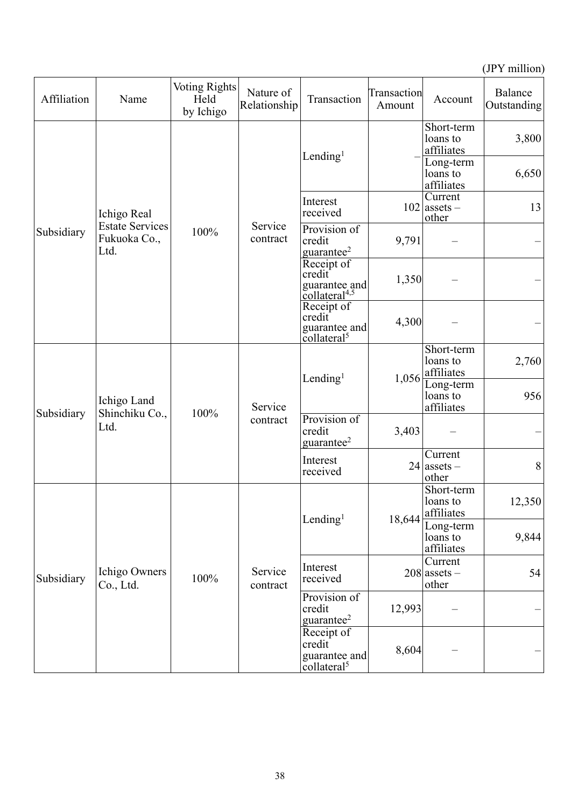(JPY million)

| Affiliation | Name                                           | <b>Voting Rights</b><br>Held<br>by Ichigo | Nature of<br>Relationship | Transaction                                                        | Transaction<br>Amount | Account                              | Balance<br>Outstanding |
|-------------|------------------------------------------------|-------------------------------------------|---------------------------|--------------------------------------------------------------------|-----------------------|--------------------------------------|------------------------|
|             | Ichigo Real                                    | 100%                                      | Service<br>contract       | Lending $l$                                                        |                       | Short-term<br>loans to<br>affiliates | 3,800                  |
|             |                                                |                                           |                           |                                                                    |                       | Long-term<br>loans to<br>affiliates  | 6,650                  |
|             |                                                |                                           |                           | Interest<br>received                                               |                       | Current<br>$102$ assets –<br>other   | 13                     |
| Subsidiary  | <b>Estate Services</b><br>Fukuoka Co.,<br>Ltd. |                                           |                           | Provision of<br>credit<br>guarantee <sup>2</sup>                   | 9,791                 |                                      |                        |
|             |                                                |                                           |                           | Receipt of<br>credit<br>guarantee and<br>collateral <sup>4,5</sup> | 1,350                 |                                      |                        |
|             |                                                |                                           |                           | Receipt of<br>credit<br>guarantee and<br>collateral <sup>5</sup>   | 4,300                 |                                      |                        |
|             | Ichigo Land<br>Shinchiku Co.,<br>Ltd.          | 100%                                      | Service<br>contract       | Lending $l$                                                        | 1,056                 | Short-term<br>loans to<br>affiliates | 2,760                  |
|             |                                                |                                           |                           |                                                                    |                       | Long-term<br>loans to<br>affiliates  | 956                    |
| Subsidiary  |                                                |                                           |                           | Provision of<br>credit<br>guarantee <sup>2</sup>                   | 3,403                 |                                      |                        |
|             |                                                |                                           |                           | Interest<br>received                                               |                       | Current<br>$24$ assets -<br>other    | 8                      |
| Subsidiary  | Ichigo Owners<br>Co., Ltd.                     | 100%                                      | Service<br>contract       | Lending $l$                                                        | 18,644                | Short-term<br>loans to<br>affiliates | 12,350                 |
|             |                                                |                                           |                           |                                                                    |                       | Long-term<br>loans to<br>affiliates  | 9,844                  |
|             |                                                |                                           |                           | Interest<br>received                                               |                       | Current<br>$208$ assets –<br>other   | 54                     |
|             |                                                |                                           |                           | Provision of<br>credit<br>guarantee $2$                            | 12,993                |                                      |                        |
|             |                                                |                                           |                           | Receipt of<br>credit<br>guarantee and<br>collateral <sup>5</sup>   | 8,604                 |                                      |                        |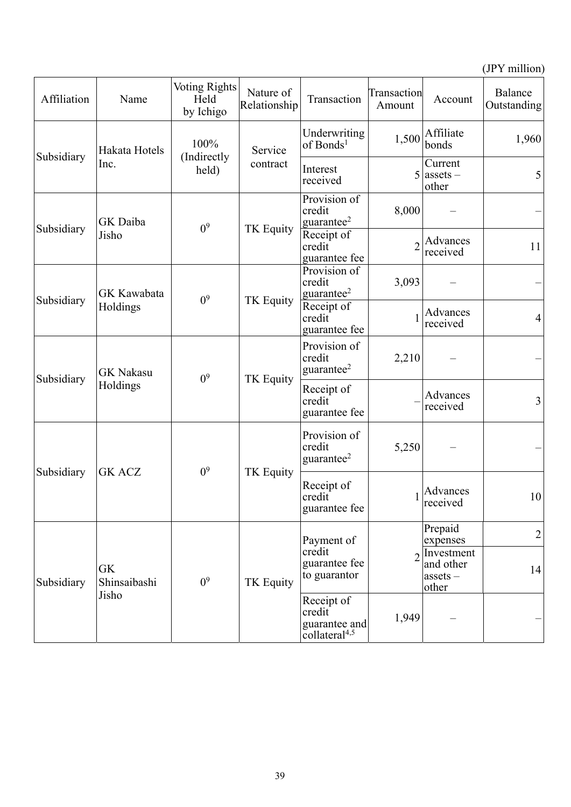(JPY million)

| Affiliation                 | Name                               | <b>Voting Rights</b><br>Held<br>by Ichigo | Nature of<br>Relationship | Transaction                                           | Transaction<br>Amount                                              | Account                                                    | Balance<br>Outstanding |
|-----------------------------|------------------------------------|-------------------------------------------|---------------------------|-------------------------------------------------------|--------------------------------------------------------------------|------------------------------------------------------------|------------------------|
|                             | Hakata Hotels                      | 100%                                      | Service<br>contract       | Underwriting<br>of Bonds <sup>1</sup>                 |                                                                    | $1,500$ Affiliate<br>bonds                                 | 1,960                  |
| Subsidiary                  | Inc.                               | (Indirectly)<br>held)                     |                           | Interest<br>received                                  |                                                                    | Current<br>$5$ assets –<br>other                           | 5                      |
|                             | GK Daiba                           |                                           | TK Equity                 | Provision of<br>credit<br>guarantee $^2$              | 8,000                                                              |                                                            |                        |
| Subsidiary                  | Jisho                              | 0 <sup>9</sup>                            |                           | Receipt of<br>credit<br>guarantee fee                 |                                                                    | Advances<br>received                                       | 11                     |
|                             | GK Kawabata                        | 0 <sup>9</sup>                            | <b>TK Equity</b>          | Provision of<br>credit<br>guarantee <sup>2</sup>      | 3,093                                                              |                                                            |                        |
| Subsidiary                  | Holdings                           |                                           |                           | Receipt of<br>credit<br>guarantee fee                 |                                                                    | Advances<br>received                                       | $\overline{4}$         |
| Subsidiary                  | <b>GK Nakasu</b>                   | 0 <sup>9</sup>                            | TK Equity                 | Provision of<br>credit<br>guarantee $^2$              | 2,210                                                              |                                                            |                        |
|                             | Holdings                           |                                           |                           | Receipt of<br>credit<br>guarantee fee                 |                                                                    | Advances<br>received                                       | 3                      |
| Subsidiary<br><b>GK ACZ</b> |                                    | 0 <sup>9</sup>                            | TK Equity                 | Provision of<br>credit<br>guarantee <sup>2</sup>      | 5,250                                                              |                                                            |                        |
|                             |                                    |                                           |                           | Receipt of<br>credit<br>guarantee fee                 |                                                                    | Advances<br>received                                       | 10                     |
|                             | <b>GK</b><br>Shinsaibashi<br>Jisho | 0 <sup>9</sup>                            | TK Equity                 | Payment of<br>credit<br>guarantee fee<br>to guarantor |                                                                    | Prepaid<br>expenses                                        | $\overline{2}$         |
| Subsidiary                  |                                    |                                           |                           |                                                       |                                                                    | $2$ Investment<br>and other<br>$\text{asserts}$ –<br>other | 14                     |
|                             |                                    |                                           |                           |                                                       | Receipt of<br>credit<br>guarantee and<br>collateral <sup>4,5</sup> | 1,949                                                      |                        |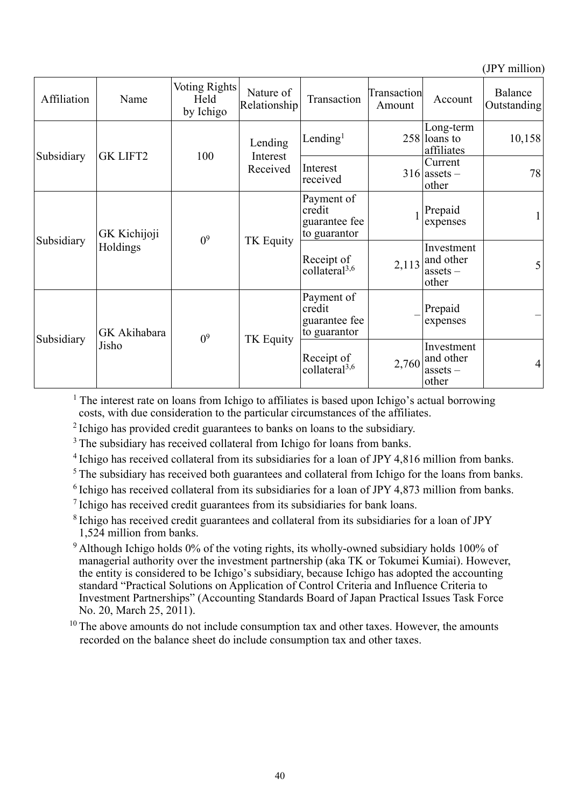(JPY million)

| Affiliation                   | Name                  | <b>Voting Rights</b><br>Held<br>by Ichigo | Nature of<br>Relationship       | Transaction                                           | Transaction<br>Amount | Account                                                | Balance<br>Outstanding |
|-------------------------------|-----------------------|-------------------------------------------|---------------------------------|-------------------------------------------------------|-----------------------|--------------------------------------------------------|------------------------|
| Subsidiary<br><b>GK LIFT2</b> |                       | 100                                       | Lending<br>Interest<br>Received | Lending <sup>1</sup>                                  |                       | Long-term<br>$258$ loans to<br>affiliates              | 10,158                 |
|                               |                       |                                           |                                 | Interest<br>received                                  |                       | Current<br>$316$ assets –<br>other                     | 78                     |
| Subsidiary                    | GK Kichijoji          | 0 <sup>9</sup>                            | TK Equity                       | Payment of<br>credit<br>guarantee fee<br>to guarantor |                       | Prepaid<br>expenses                                    | $\mathbf{1}$           |
|                               | Holdings              |                                           |                                 | Receipt of<br>collateral <sup>3,6</sup>               | 2,113                 | Investment<br>and other<br>assets $-$<br>other         | 5 <sup>1</sup>         |
| Subsidiary                    | GK Akihabara<br>Jisho | 0 <sup>9</sup>                            | TK Equity                       | Payment of<br>credit<br>guarantee fee<br>to guarantor |                       | Prepaid<br>expenses                                    |                        |
|                               |                       |                                           |                                 | Receipt of<br>collateral <sup>3,6</sup>               | 2,760                 | Investment<br>and other<br>$\text{asserts}$ -<br>other | $\overline{4}$         |

<sup>1</sup> The interest rate on loans from Ichigo to affiliates is based upon Ichigo's actual borrowing costs, with due consideration to the particular circumstances of the affiliates.

<sup>2</sup> Ichigo has provided credit guarantees to banks on loans to the subsidiary.

<sup>3</sup> The subsidiary has received collateral from Ichigo for loans from banks.

<sup>4</sup> Ichigo has received collateral from its subsidiaries for a loan of JPY 4,816 million from banks.

<sup>5</sup> The subsidiary has received both guarantees and collateral from Ichigo for the loans from banks.

 $6$  Ichigo has received collateral from its subsidiaries for a loan of JPY 4,873 million from banks.

<sup>7</sup> Ichigo has received credit guarantees from its subsidiaries for bank loans.

8 Ichigo has received credit guarantees and collateral from its subsidiaries for a loan of JPY 1,524 million from banks.

9 Although Ichigo holds 0% of the voting rights, its wholly-owned subsidiary holds 100% of managerial authority over the investment partnership (aka TK or Tokumei Kumiai). However, the entity is considered to be Ichigo's subsidiary, because Ichigo has adopted the accounting standard "Practical Solutions on Application of Control Criteria and Influence Criteria to Investment Partnerships" (Accounting Standards Board of Japan Practical Issues Task Force No. 20, March 25, 2011).

 $10$  The above amounts do not include consumption tax and other taxes. However, the amounts recorded on the balance sheet do include consumption tax and other taxes.